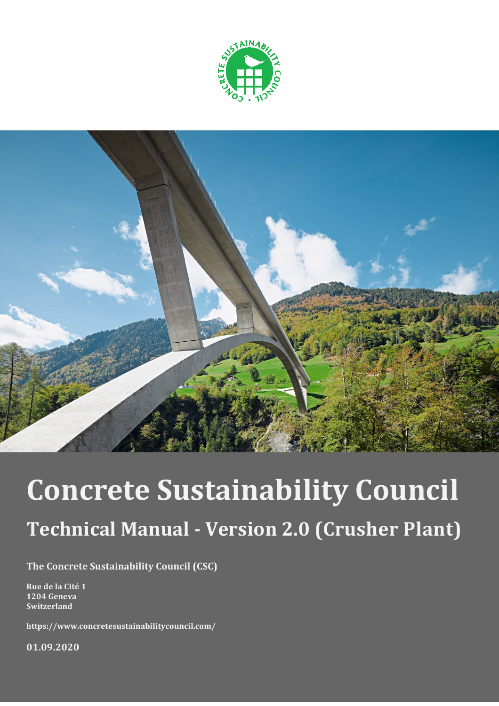



# **Concrete Sustainability Council Technical Manual - Version 2.0 (Crusher Plant)**

**The Concrete Sustainability Council (CSC)**

**Rue de la Cité 1 1204 Geneva Switzerland**

**https://www.concretesustainabilitycouncil.com/**

**01.09.2020**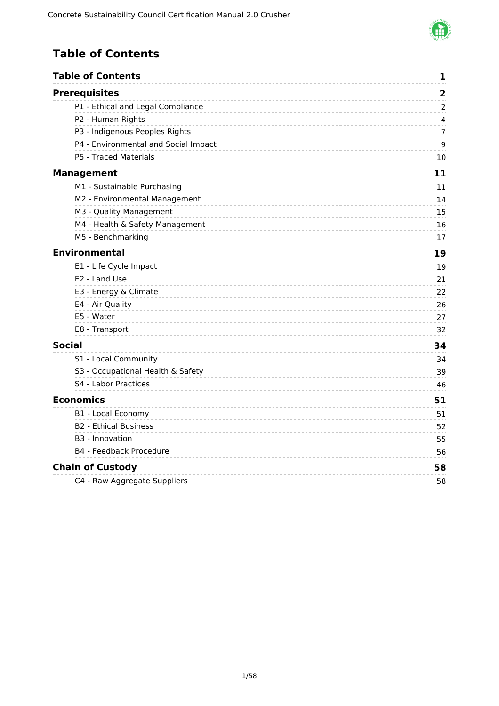

### <span id="page-1-0"></span>**Table of Contents**

| <b>Table of Contents</b>             | 1                       |
|--------------------------------------|-------------------------|
| <b>Prerequisites</b>                 | $\overline{\mathbf{2}}$ |
| P1 - Ethical and Legal Compliance    | $\overline{2}$          |
| P2 - Human Rights                    | 4                       |
| P3 - Indigenous Peoples Rights       | 7                       |
| P4 - Environmental and Social Impact | 9                       |
| P5 - Traced Materials                | 10                      |
| <b>Management</b>                    | 11                      |
| M1 - Sustainable Purchasing          | 11                      |
| M2 - Environmental Management        | 14                      |
| M3 - Quality Management              | 15                      |
| M4 - Health & Safety Management      | 16                      |
| M5 - Benchmarking                    | 17                      |
| <b>Environmental</b>                 | 19                      |
| E1 - Life Cycle Impact               | 19                      |
| E2 - Land Use                        | 21                      |
| E3 - Energy & Climate                | 22                      |
| E4 - Air Quality                     | 26                      |
| E5 - Water                           | 27                      |
| E8 - Transport                       | 32                      |
| <b>Social</b>                        | 34                      |
| S1 - Local Community                 | 34                      |
| S3 - Occupational Health & Safety    | 39                      |
| S4 - Labor Practices                 | 46                      |
| <b>Economics</b>                     | 51                      |
| <b>B1 - Local Economy</b>            | 51                      |
| <b>B2 - Ethical Business</b>         | 52                      |
| B <sub>3</sub> - Innovation          | 55                      |
| <b>B4 - Feedback Procedure</b>       | 56                      |
| <b>Chain of Custody</b>              | 58                      |
| C4 - Raw Aggregate Suppliers         | 58                      |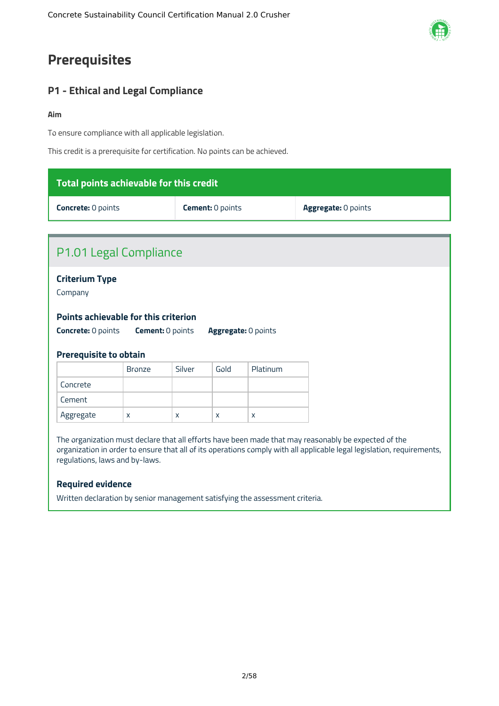## <span id="page-2-0"></span>**Prerequisites**

### <span id="page-2-1"></span>**P1 - Ethical and Legal Compliance**

#### **Aim**

To ensure compliance with all applicable legislation.

This credit is a prerequisite for certification. No points can be achieved.

| Total points achievable for this credit                                                                                                                                                                                                                                                                                                                                      |                           |        |                         |          |                     |  |
|------------------------------------------------------------------------------------------------------------------------------------------------------------------------------------------------------------------------------------------------------------------------------------------------------------------------------------------------------------------------------|---------------------------|--------|-------------------------|----------|---------------------|--|
|                                                                                                                                                                                                                                                                                                                                                                              | <b>Concrete: 0 points</b> |        | <b>Cement: 0 points</b> |          | Aggregate: 0 points |  |
|                                                                                                                                                                                                                                                                                                                                                                              |                           |        |                         |          |                     |  |
| P1.01 Legal Compliance                                                                                                                                                                                                                                                                                                                                                       |                           |        |                         |          |                     |  |
| <b>Criterium Type</b><br>Company<br>Points achievable for this criterion<br><b>Concrete: 0 points</b><br>Aggregate: 0 points<br><b>Cement: 0 points</b><br><b>Prerequisite to obtain</b>                                                                                                                                                                                     |                           |        |                         |          |                     |  |
|                                                                                                                                                                                                                                                                                                                                                                              | <b>Bronze</b>             | Silver | Gold                    | Platinum |                     |  |
| Concrete                                                                                                                                                                                                                                                                                                                                                                     |                           |        |                         |          |                     |  |
| Cement                                                                                                                                                                                                                                                                                                                                                                       |                           |        |                         |          |                     |  |
| Aggregate                                                                                                                                                                                                                                                                                                                                                                    | X                         | X      | X                       | X        |                     |  |
| The organization must declare that all efforts have been made that may reasonably be expected of the<br>organization in order to ensure that all of its operations comply with all applicable legal legislation, requirements,<br>regulations, laws and by-laws.<br><b>Required evidence</b><br>Written declaration by senior management satisfying the assessment criteria. |                           |        |                         |          |                     |  |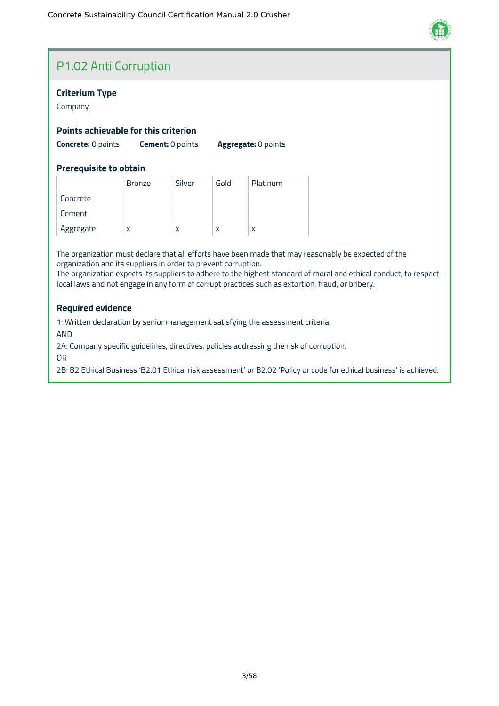

### P1.02 Anti Corruption

#### **Criterium Type**

Company

#### **Points achievable for this criterion**

**Concrete:** 0 points **Cement:** 0 points **Aggregate:** 0 points

#### **Prerequisite to obtain**

|           | <b>Bronze</b> | Silver | Gold | Platinum |
|-----------|---------------|--------|------|----------|
| Concrete  |               |        |      |          |
| Cement    |               |        |      |          |
| Aggregate | X             | x      | x    | χ        |

The organization must declare that all efforts have been made that may reasonably be expected of the organization and its suppliers in order to prevent corruption.

The organization expects its suppliers to adhere to the highest standard of moral and ethical conduct, to respect local laws and not engage in any form of corrupt practices such as extortion, fraud, or bribery.

#### **Required evidence**

1: Written declaration by senior management satisfying the assessment criteria.

AND

2A: Company specific guidelines, directives, policies addressing the risk of corruption.

OR

2B: B2 Ethical Business 'B2.01 Ethical risk assessment' or B2.02 'Policy or code for ethical business' is achieved.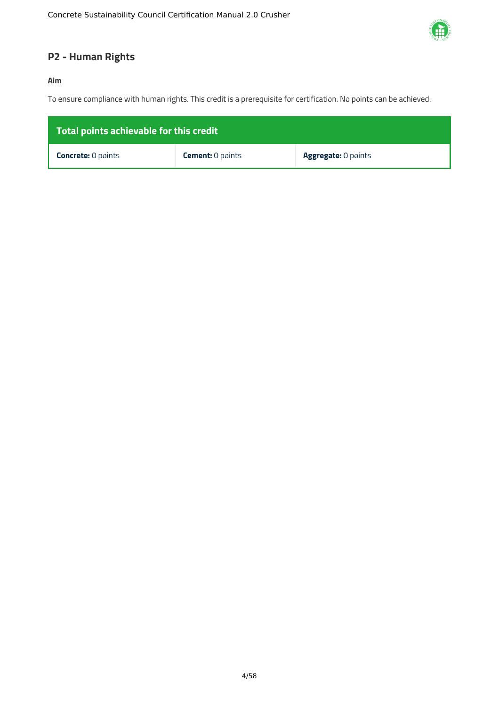

### <span id="page-4-0"></span>**P2 - Human Rights**

#### **Aim**

To ensure compliance with human rights. This credit is a prerequisite for certification. No points can be achieved.

| Total points achievable for this credit |                         |                            |  |  |  |
|-----------------------------------------|-------------------------|----------------------------|--|--|--|
| <b>Concrete:</b> 0 points               | <b>Cement: 0 points</b> | <b>Aggregate: 0 points</b> |  |  |  |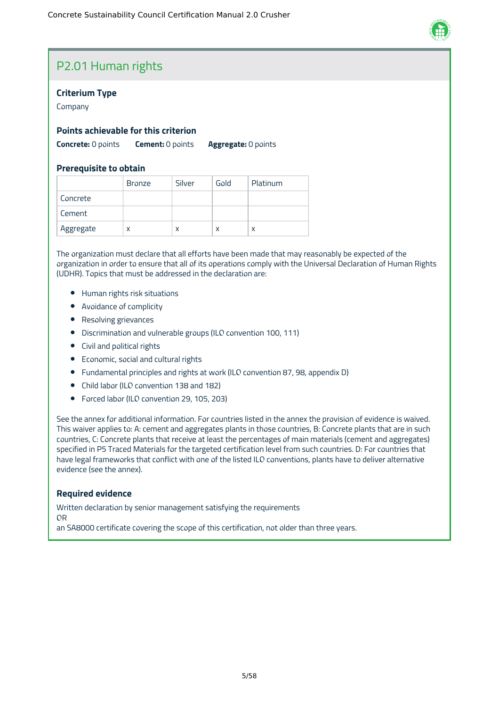

### P2.01 Human rights

#### **Criterium Type**

Company

#### **Points achievable for this criterion**

**Concrete:** 0 points **Cement:** 0 points **Aggregate:** 0 points

#### **Prerequisite to obtain**

|           | <b>Bronze</b> | Silver | Gold | Platinum |
|-----------|---------------|--------|------|----------|
| Concrete  |               |        |      |          |
| Cement    |               |        |      |          |
| Aggregate | х             | X      | X    | x        |

The organization must declare that all efforts have been made that may reasonably be expected of the organization in order to ensure that all of its operations comply with the Universal Declaration of Human Rights (UDHR). Topics that must be addressed in the declaration are:

- Human rights risk situations
- Avoidance of complicity
- Resolving grievances
- Discrimination and vulnerable groups (ILO convention 100, 111)
- Civil and political rights
- Economic, social and cultural rights
- Fundamental principles and rights at work (ILO convention 87, 98, appendix D)
- Child labor (ILO convention 138 and 182)
- Forced labor (ILO convention 29, 105, 203)

See the annex for additional information. For countries listed in the annex the provision of evidence is waived. This waiver applies to: A: cement and aggregates plants in those countries, B: Concrete plants that are in such countries, C: Concrete plants that receive at least the percentages of main materials (cement and aggregates) specified in P5 Traced Materials for the targeted certification level from such countries. D: For countries that have legal frameworks that conflict with one of the listed ILO conventions, plants have to deliver alternative evidence (see the annex).

#### **Required evidence**

Written declaration by senior management satisfying the requirements OR an SA8000 certificate covering the scope of this certification, not older than three years.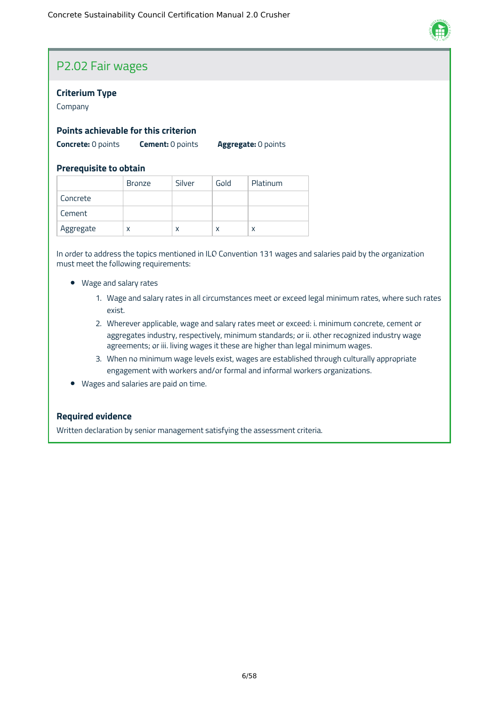

### P2.02 Fair wages

#### **Criterium Type**

Company

#### **Points achievable for this criterion**

**Concrete:** 0 points **Cement:** 0 points **Aggregate:** 0 points

#### **Prerequisite to obtain**

|           | <b>Bronze</b> | Silver | Gold | Platinum |
|-----------|---------------|--------|------|----------|
| Concrete  |               |        |      |          |
| Cement    |               |        |      |          |
| Aggregate | X             | x      | X    | χ        |

In order to address the topics mentioned in ILO Convention 131 wages and salaries paid by the organization must meet the following requirements:

- Wage and salary rates
	- 1. Wage and salary rates in all circumstances meet or exceed legal minimum rates, where such rates exist.
	- 2. Wherever applicable, wage and salary rates meet or exceed: i. minimum concrete, cement or aggregates industry, respectively, minimum standards; or ii. other recognized industry wage agreements; or iii. living wages it these are higher than legal minimum wages.
	- 3. When no minimum wage levels exist, wages are established through culturally appropriate engagement with workers and/or formal and informal workers organizations.
- Wages and salaries are paid on time.

#### **Required evidence**

Written declaration by senior management satisfying the assessment criteria.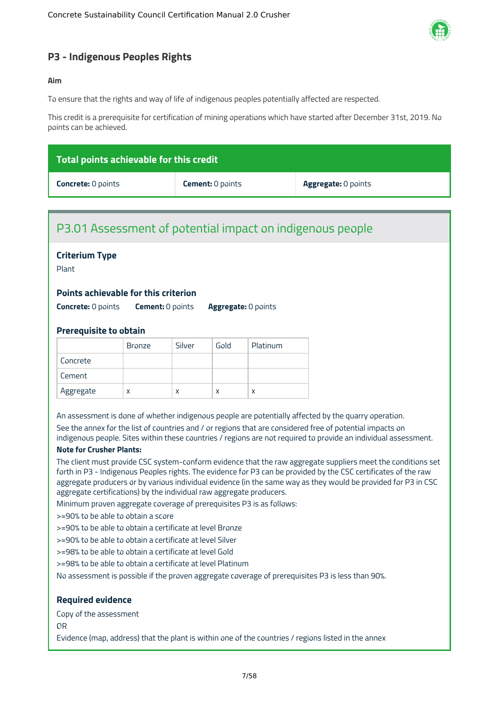

#### <span id="page-7-0"></span>**P3 - Indigenous Peoples Rights**

#### **Aim**

To ensure that the rights and way of life of indigenous peoples potentially affected are respected.

This credit is a prerequisite for certification of mining operations which have started after December 31st, 2019. No points can be achieved.

| Total points achievable for this credit |                         |                            |  |  |  |
|-----------------------------------------|-------------------------|----------------------------|--|--|--|
| <b>Concrete: 0 points</b>               | <b>Cement: 0 points</b> | <b>Aggregate: 0 points</b> |  |  |  |

### P3.01 Assessment of potential impact on indigenous people

#### **Criterium Type**

Plant

#### **Points achievable for this criterion**

**Concrete:** 0 points **Cement:** 0 points **Aggregate:** 0 points

#### **Prerequisite to obtain**

|           | <b>Bronze</b> | Silver | Gold | Platinum |
|-----------|---------------|--------|------|----------|
| Concrete  |               |        |      |          |
| Cement    |               |        |      |          |
| Aggregate | x             | X      | X    |          |

An assessment is done of whether indigenous people are potentially affected by the quarry operation. See the annex for the list of countries and / or regions that are considered free of potential impacts on indigenous people. Sites within these countries / regions are not required to provide an individual assessment.

#### **Note for Crusher Plants:**

The client must provide CSC system-conform evidence that the raw aggregate suppliers meet the conditions set forth in P3 - Indigenous Peoples rights. The evidence for P3 can be provided by the CSC certificates of the raw aggregate producers or by various individual evidence (in the same way as they would be provided for P3 in CSC aggregate certifications) by the individual raw aggregate producers.

Minimum proven aggregate coverage of prerequisites P3 is as follows:

>=90% to be able to obtain a score

>=90% to be able to obtain a certificate at level Bronze

>=90% to be able to obtain a certificate at level Silver

>=98% to be able to obtain a certificate at level Gold

>=98% to be able to obtain a certificate at level Platinum

No assessment is possible if the proven aggregate coverage of prerequisites P3 is less than 90%.

#### **Required evidence**

Copy of the assessment

OR

Evidence (map, address) that the plant is within one of the countries / regions listed in the annex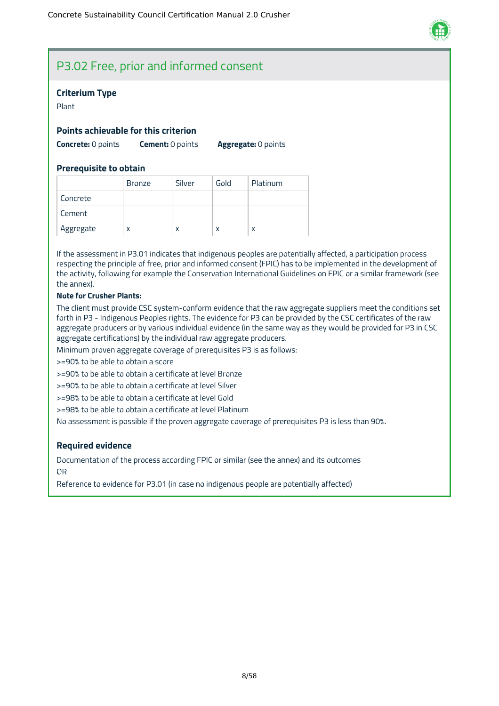

### P3.02 Free, prior and informed consent

#### **Criterium Type**

Plant

#### **Points achievable for this criterion**

**Concrete:** 0 points **Cement:** 0 points **Aggregate:** 0 points

#### **Prerequisite to obtain**

|           | <b>Bronze</b> | Silver | Gold | Platinum |
|-----------|---------------|--------|------|----------|
| Concrete  |               |        |      |          |
| Cement    |               |        |      |          |
| Aggregate | x             | x      | X    | x        |

If the assessment in P3.01 indicates that indigenous peoples are potentially affected, a participation process respecting the principle of free, prior and informed consent (FPIC) has to be implemented in the development of the activity, following for example the Conservation International Guidelines on FPIC or a similar framework (see the annex).

#### **Note for Crusher Plants:**

The client must provide CSC system-conform evidence that the raw aggregate suppliers meet the conditions set forth in P3 - Indigenous Peoples rights. The evidence for P3 can be provided by the CSC certificates of the raw aggregate producers or by various individual evidence (in the same way as they would be provided for P3 in CSC aggregate certifications) by the individual raw aggregate producers.

Minimum proven aggregate coverage of prerequisites P3 is as follows:

>=90% to be able to obtain a score

>=90% to be able to obtain a certificate at level Bronze

>=90% to be able to obtain a certificate at level Silver

>=98% to be able to obtain a certificate at level Gold

>=98% to be able to obtain a certificate at level Platinum

No assessment is possible if the proven aggregate coverage of prerequisites P3 is less than 90%.

#### **Required evidence**

Documentation of the process according FPIC or similar (see the annex) and its outcomes OR

Reference to evidence for P3.01 (in case no indigenous people are potentially affected)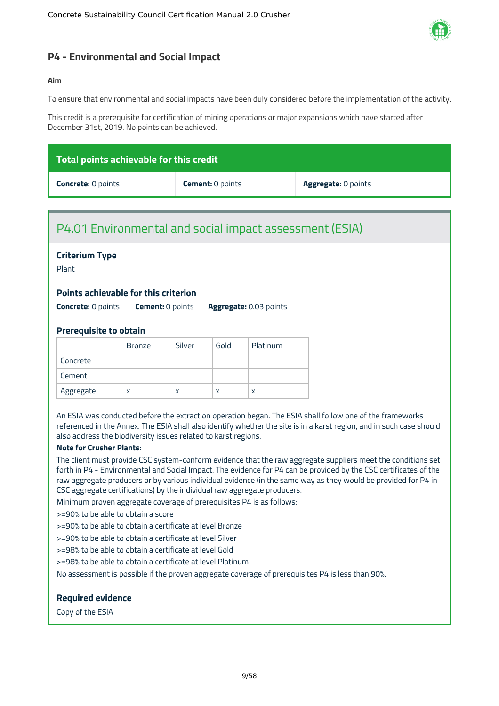

#### <span id="page-9-0"></span>**P4 - Environmental and Social Impact**

#### **Aim**

To ensure that environmental and social impacts have been duly considered before the implementation of the activity.

This credit is a prerequisite for certification of mining operations or major expansions which have started after December 31st, 2019. No points can be achieved.

| $\,$ Total points achievable for this credit $_1$ |                         |                            |  |  |  |
|---------------------------------------------------|-------------------------|----------------------------|--|--|--|
| <b>Concrete: 0 points</b>                         | <b>Cement:</b> 0 points | <b>Aggregate:</b> 0 points |  |  |  |

### P4.01 Environmental and social impact assessment (ESIA)

#### **Criterium Type**

Plant

#### **Points achievable for this criterion**

**Concrete:** 0 points **Cement:** 0 points **Aggregate:** 0.03 points

#### **Prerequisite to obtain**

|           | <b>Bronze</b> | Silver | Gold | Platinum |
|-----------|---------------|--------|------|----------|
| Concrete  |               |        |      |          |
| Cement    |               |        |      |          |
| Aggregate | x             | x      | X    | χ        |

An ESIA was conducted before the extraction operation began. The ESIA shall follow one of the frameworks referenced in the Annex. The ESIA shall also identify whether the site is in a karst region, and in such case should also address the biodiversity issues related to karst regions.

#### **Note for Crusher Plants:**

The client must provide CSC system-conform evidence that the raw aggregate suppliers meet the conditions set forth in P4 - Environmental and Social Impact. The evidence for P4 can be provided by the CSC certificates of the raw aggregate producers or by various individual evidence (in the same way as they would be provided for P4 in CSC aggregate certifications) by the individual raw aggregate producers.

Minimum proven aggregate coverage of prerequisites P4 is as follows:

>=90% to be able to obtain a score

>=90% to be able to obtain a certificate at level Bronze

>=90% to be able to obtain a certificate at level Silver

>=98% to be able to obtain a certificate at level Gold

>=98% to be able to obtain a certificate at level Platinum

No assessment is possible if the proven aggregate coverage of prerequisites P4 is less than 90%.

#### **Required evidence**

Copy of the ESIA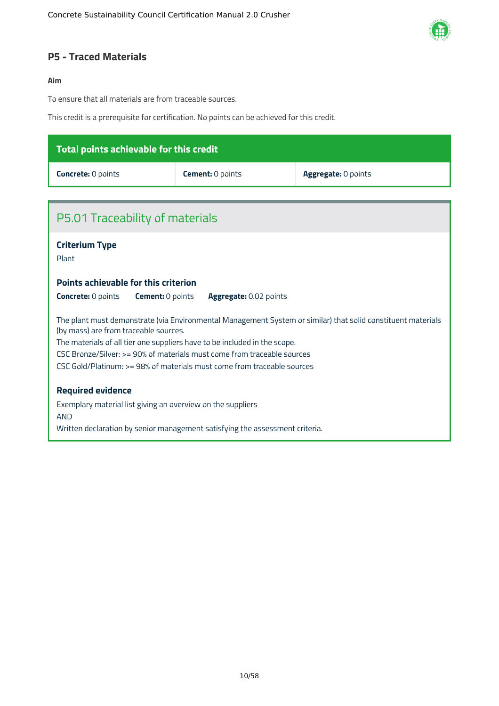

#### <span id="page-10-0"></span>**P5 - Traced Materials**

#### **Aim**

To ensure that all materials are from traceable sources.

This credit is a prerequisite for certification. No points can be achieved for this credit.

| Total points achievable for this credit |                         |                            |  |  |  |
|-----------------------------------------|-------------------------|----------------------------|--|--|--|
| <b>Concrete: 0 points</b>               | <b>Cement:</b> 0 points | <b>Aggregate: 0 points</b> |  |  |  |
|                                         |                         |                            |  |  |  |

| P5.01 Traceability of materials                                                                                                                                                                                                                                                                                                                                                          |
|------------------------------------------------------------------------------------------------------------------------------------------------------------------------------------------------------------------------------------------------------------------------------------------------------------------------------------------------------------------------------------------|
| <b>Criterium Type</b><br>Plant                                                                                                                                                                                                                                                                                                                                                           |
| <b>Points achievable for this criterion</b>                                                                                                                                                                                                                                                                                                                                              |
| <b>Concrete: 0 points</b><br><b>Cement:</b> 0 points<br><b>Aggregate: 0.02 points</b>                                                                                                                                                                                                                                                                                                    |
| The plant must demonstrate (via Environmental Management System or similar) that solid constituent materials<br>(by mass) are from traceable sources.<br>The materials of all tier one suppliers have to be included in the scope.<br>CSC Bronze/Silver: >= 90% of materials must come from traceable sources<br>CSC Gold/Platinum: >= 98% of materials must come from traceable sources |
| <b>Required evidence</b>                                                                                                                                                                                                                                                                                                                                                                 |
| Exemplary material list giving an overview on the suppliers<br><b>AND</b>                                                                                                                                                                                                                                                                                                                |
| Written declaration by senior management satisfying the assessment criteria.                                                                                                                                                                                                                                                                                                             |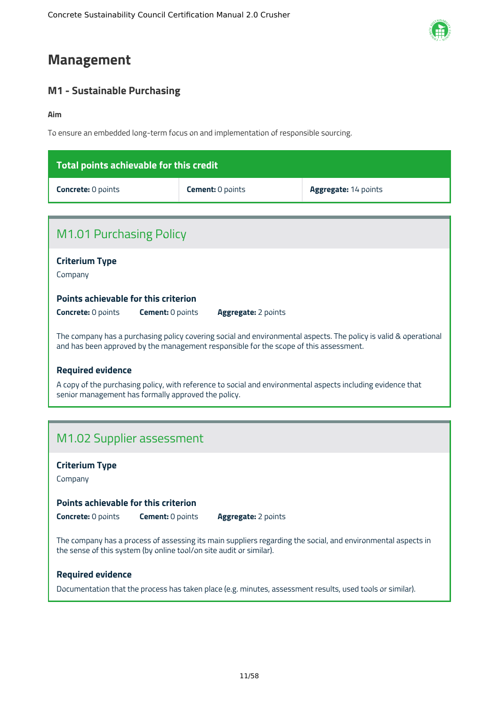### <span id="page-11-0"></span>**Management**

### <span id="page-11-1"></span>**M1 - Sustainable Purchasing**

#### **Aim**

To ensure an embedded long-term focus on and implementation of responsible sourcing.

| Total points achievable for this credit |                         |                             |
|-----------------------------------------|-------------------------|-----------------------------|
| <b>Concrete: 0 points</b>               | <b>Cement:</b> 0 points | <b>Aggregate: 14 points</b> |

| M1.01 Purchasing Policy                                                                                                                                                                                   |
|-----------------------------------------------------------------------------------------------------------------------------------------------------------------------------------------------------------|
| <b>Criterium Type</b><br>Company                                                                                                                                                                          |
| Points achievable for this criterion                                                                                                                                                                      |
| <b>Cement: 0 points</b><br><b>Concrete:</b> 0 points<br><b>Aggregate:</b> 2 points                                                                                                                        |
| The company has a purchasing policy covering social and environmental aspects. The policy is valid & operational<br>and has been approved by the management responsible for the scope of this assessment. |
| <b>Required evidence</b>                                                                                                                                                                                  |
| A copy of the purchasing policy, with reference to social and environmental aspects including evidence that<br>senior management has formally approved the policy.                                        |
|                                                                                                                                                                                                           |

### M1.02 Supplier assessment

**Criterium Type**

Company

#### **Points achievable for this criterion**

**Concrete:** 0 points **Cement:** 0 points **Aggregate:** 2 points

The company has a process of assessing its main suppliers regarding the social, and environmental aspects in the sense of this system (by online tool/on site audit or similar).

#### **Required evidence**

Documentation that the process has taken place (e.g. minutes, assessment results, used tools or similar).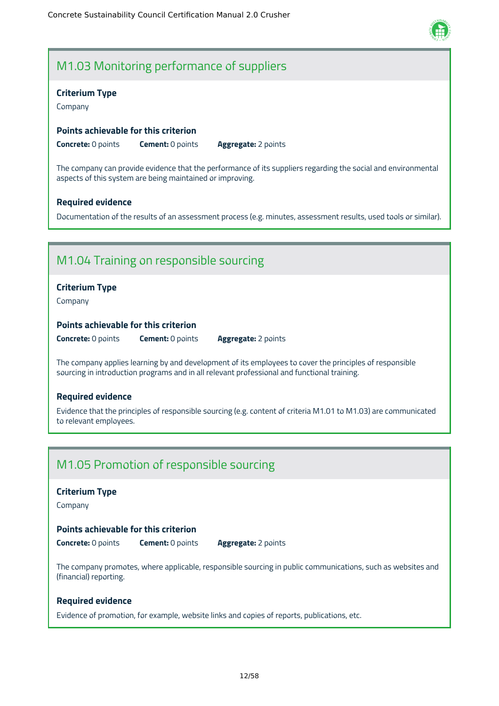

### M1.03 Monitoring performance of suppliers

#### **Criterium Type**

Company

#### **Points achievable for this criterion**

**Concrete:** 0 points **Cement:** 0 points **Aggregate:** 2 points

The company can provide evidence that the performance of its suppliers regarding the social and environmental aspects of this system are being maintained or improving.

#### **Required evidence**

Documentation of the results of an assessment process (e.g. minutes, assessment results, used tools or similar).

### M1.04 Training on responsible sourcing

#### **Criterium Type**

Company

#### **Points achievable for this criterion**

**Concrete:** 0 points **Cement:** 0 points **Aggregate:** 2 points

The company applies learning by and development of its employees to cover the principles of responsible sourcing in introduction programs and in all relevant professional and functional training.

#### **Required evidence**

Evidence that the principles of responsible sourcing (e.g. content of criteria M1.01 to M1.03) are communicated to relevant employees.

### M1.05 Promotion of responsible sourcing

#### **Criterium Type**

Company

#### **Points achievable for this criterion**

**Concrete:** 0 points **Cement:** 0 points **Aggregate:** 2 points

The company promotes, where applicable, responsible sourcing in public communications, such as websites and (financial) reporting.

#### **Required evidence**

Evidence of promotion, for example, website links and copies of reports, publications, etc.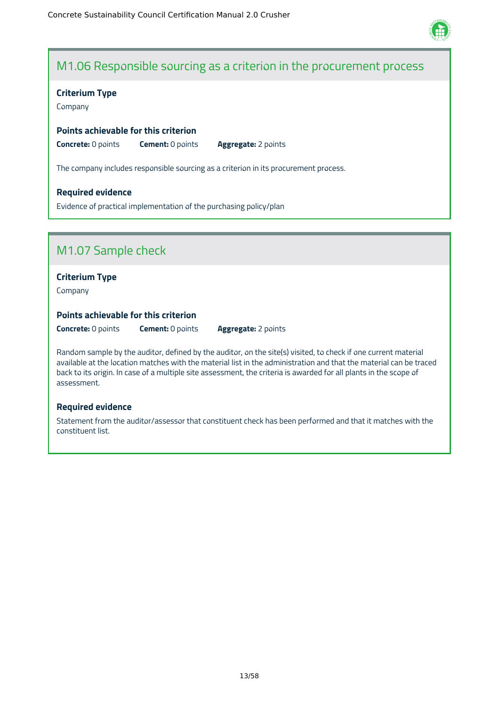

### M1.06 Responsible sourcing as a criterion in the procurement process

#### **Criterium Type**

Company

#### **Points achievable for this criterion**

**Concrete:** 0 points **Cement:** 0 points **Aggregate:** 2 points

The company includes responsible sourcing as a criterion in its procurement process.

#### **Required evidence**

Evidence of practical implementation of the purchasing policy/plan

### M1.07 Sample check

#### **Criterium Type**

Company

#### **Points achievable for this criterion**

**Concrete:** 0 points **Cement:** 0 points **Aggregate:** 2 points

Random sample by the auditor, defined by the auditor, on the site(s) visited, to check if one current material available at the location matches with the material list in the administration and that the material can be traced back to its origin. In case of a multiple site assessment, the criteria is awarded for all plants in the scope of assessment.

#### **Required evidence**

Statement from the auditor/assessor that constituent check has been performed and that it matches with the constituent list.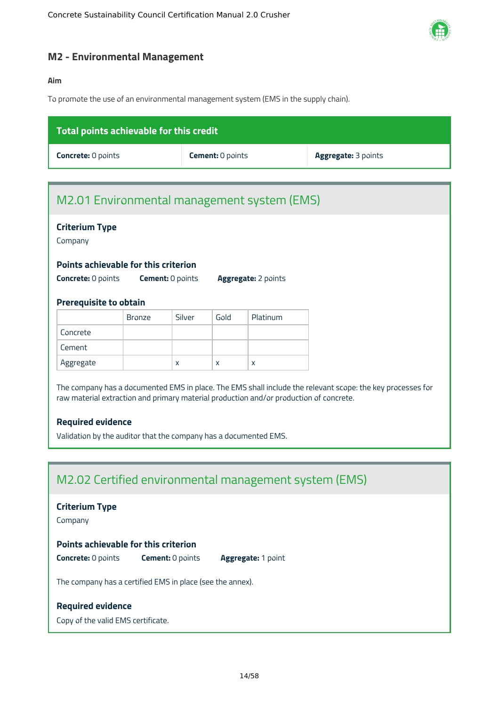

#### <span id="page-14-0"></span>**M2 - Environmental Management**

#### **Aim**

To promote the use of an environmental management system (EMS in the supply chain).

| Total points achievable for this credit |                         |                            |
|-----------------------------------------|-------------------------|----------------------------|
| <b>Concrete:</b> 0 points               | <b>Cement:</b> 0 points | <b>Aggregate: 3 points</b> |

### M2.01 Environmental management system (EMS)

#### **Criterium Type**

Company

#### **Points achievable for this criterion**

**Concrete:** 0 points **Cement:** 0 points **Aggregate:** 2 points

#### **Prerequisite to obtain**

|           | Bronze | Silver | Gold | Platinum |
|-----------|--------|--------|------|----------|
| Concrete  |        |        |      |          |
| Cement    |        |        |      |          |
| Aggregate |        | X      | x    | X        |

The company has a documented EMS in place. The EMS shall include the relevant scope: the key processes for raw material extraction and primary material production and/or production of concrete.

#### **Required evidence**

Validation by the auditor that the company has a documented EMS.

### M2.02 Certified environmental management system (EMS)

#### **Criterium Type**

Company

#### **Points achievable for this criterion**

**Concrete:** 0 points **Cement:** 0 points **Aggregate:** 1 point

The company has a certified EMS in place (see the annex).

#### **Required evidence**

Copy of the valid EMS certificate.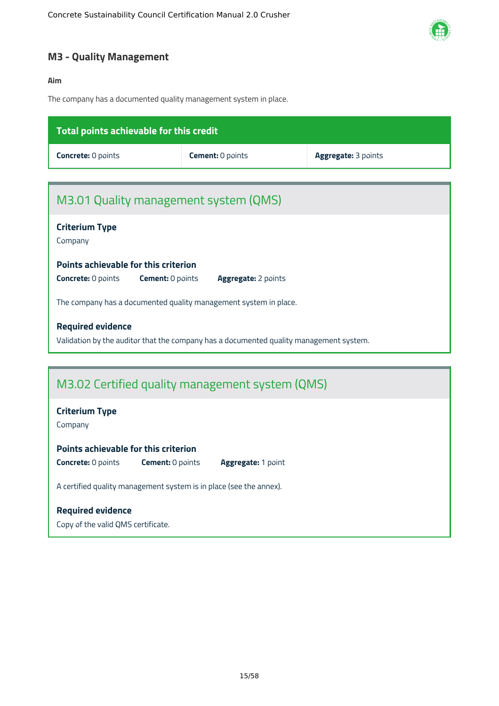

### <span id="page-15-0"></span>**M3 - Quality Management**

#### **Aim**

The company has a documented quality management system in place.

| Total points achievable for this credit                                                      |                                                                                        |                     |
|----------------------------------------------------------------------------------------------|----------------------------------------------------------------------------------------|---------------------|
| <b>Concrete: 0 points</b>                                                                    | <b>Cement: 0 points</b>                                                                | Aggregate: 3 points |
|                                                                                              |                                                                                        |                     |
| M3.01 Quality management system (QMS)                                                        |                                                                                        |                     |
| <b>Criterium Type</b><br>Company                                                             |                                                                                        |                     |
| Points achievable for this criterion                                                         |                                                                                        |                     |
| <b>Concrete: 0 points</b><br><b>Cement: 0 points</b>                                         | <b>Aggregate: 2 points</b>                                                             |                     |
| The company has a documented quality management system in place.                             |                                                                                        |                     |
| <b>Required evidence</b>                                                                     |                                                                                        |                     |
|                                                                                              | Validation by the auditor that the company has a documented quality management system. |                     |
|                                                                                              |                                                                                        |                     |
|                                                                                              | M3.02 Certified quality management system (QMS)                                        |                     |
| <b>Criterium Type</b><br>Company                                                             |                                                                                        |                     |
| Points achievable for this criterion<br><b>Concrete: 0 points</b><br><b>Cement: 0 points</b> | Aggregate: 1 point                                                                     |                     |

A certified quality management system is in place (see the annex).

### **Required evidence**

Copy of the valid QMS certificate.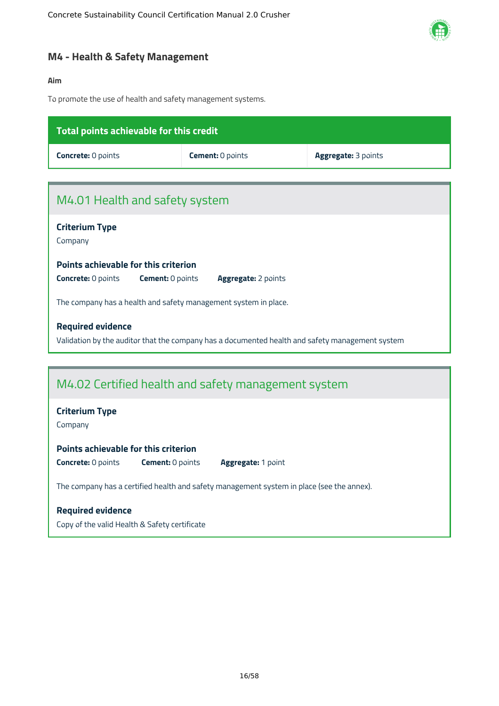

#### <span id="page-16-0"></span>**M4 - Health & Safety Management**

#### **Aim**

To promote the use of health and safety management systems.

| <b>Total points achievable for this credit</b>                  |                                                                                                 |                            |
|-----------------------------------------------------------------|-------------------------------------------------------------------------------------------------|----------------------------|
| <b>Concrete: 0 points</b>                                       | <b>Cement: 0 points</b>                                                                         | <b>Aggregate: 3 points</b> |
|                                                                 |                                                                                                 |                            |
| M4.01 Health and safety system                                  |                                                                                                 |                            |
| <b>Criterium Type</b><br>Company                                |                                                                                                 |                            |
| Points achievable for this criterion                            |                                                                                                 |                            |
| <b>Concrete: 0 points</b><br><b>Cement: 0 points</b>            | <b>Aggregate: 2 points</b>                                                                      |                            |
| The company has a health and safety management system in place. |                                                                                                 |                            |
| <b>Required evidence</b>                                        |                                                                                                 |                            |
|                                                                 | Validation by the auditor that the company has a documented health and safety management system |                            |

### M4.02 Certified health and safety management system

#### **Criterium Type**

Company

#### **Points achievable for this criterion**

**Concrete:** 0 points **Cement:** 0 points **Aggregate:** 1 point

The company has a certified health and safety management system in place (see the annex).

#### **Required evidence**

Copy of the valid Health & Safety certificate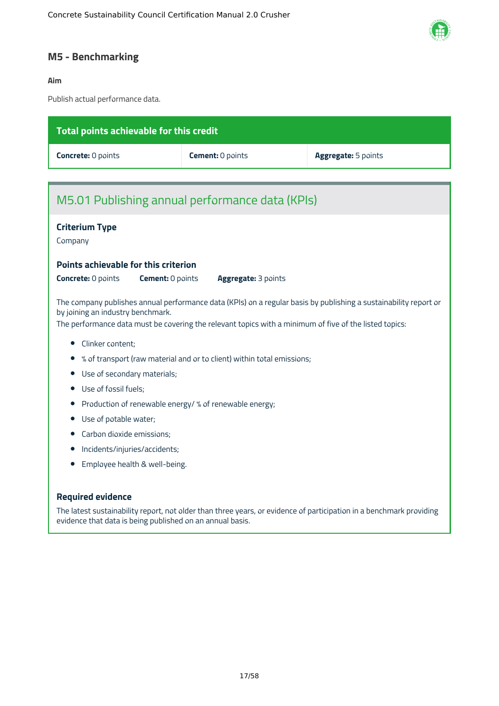

### <span id="page-17-0"></span>**M5 - Benchmarking**

#### **Aim**

Publish actual performance data.

| Total points achievable for this credit                                                                                                     |                                                                        |                                                                                                                     |
|---------------------------------------------------------------------------------------------------------------------------------------------|------------------------------------------------------------------------|---------------------------------------------------------------------------------------------------------------------|
| <b>Concrete: 0 points</b>                                                                                                                   | Cement: 0 points                                                       | Aggregate: 5 points                                                                                                 |
|                                                                                                                                             |                                                                        |                                                                                                                     |
| M5.01 Publishing annual performance data (KPIs)                                                                                             |                                                                        |                                                                                                                     |
| <b>Criterium Type</b><br>Company                                                                                                            |                                                                        |                                                                                                                     |
| Points achievable for this criterion<br><b>Concrete: 0 points</b><br><b>Cement: 0 points</b>                                                | Aggregate: 3 points                                                    |                                                                                                                     |
| by joining an industry benchmark.<br>The performance data must be covering the relevant topics with a minimum of five of the listed topics: |                                                                        | The company publishes annual performance data (KPIs) on a regular basis by publishing a sustainability report or    |
| Clinker content;<br>$\bullet$                                                                                                               |                                                                        |                                                                                                                     |
|                                                                                                                                             | % of transport (raw material and or to client) within total emissions; |                                                                                                                     |
| Use of secondary materials;<br>$\bullet$                                                                                                    |                                                                        |                                                                                                                     |
| Use of fossil fuels;                                                                                                                        |                                                                        |                                                                                                                     |
| Production of renewable energy/ % of renewable energy;<br>$\bullet$                                                                         |                                                                        |                                                                                                                     |
| Use of potable water;                                                                                                                       |                                                                        |                                                                                                                     |
| Carbon dioxide emissions;                                                                                                                   |                                                                        |                                                                                                                     |
| Incidents/injuries/accidents;                                                                                                               |                                                                        |                                                                                                                     |
| Employee health & well-being.                                                                                                               |                                                                        |                                                                                                                     |
| <b>Required evidence</b><br>evidence that data is being published on an annual basis.                                                       |                                                                        | The latest sustainability report, not older than three years, or evidence of participation in a benchmark providing |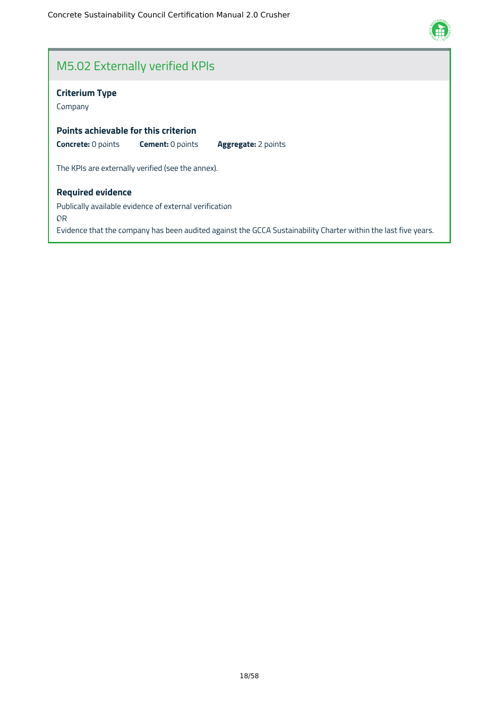

### M5.02 Externally verified KPIs

#### **Criterium Type**

Company

#### **Points achievable for this criterion**

**Concrete:** 0 points **Cement:** 0 points **Aggregate:** 2 points

The KPIs are externally verified (see the annex).

#### **Required evidence**

Publically available evidence of external verification OR Evidence that the company has been audited against the GCCA Sustainability Charter within the last five years.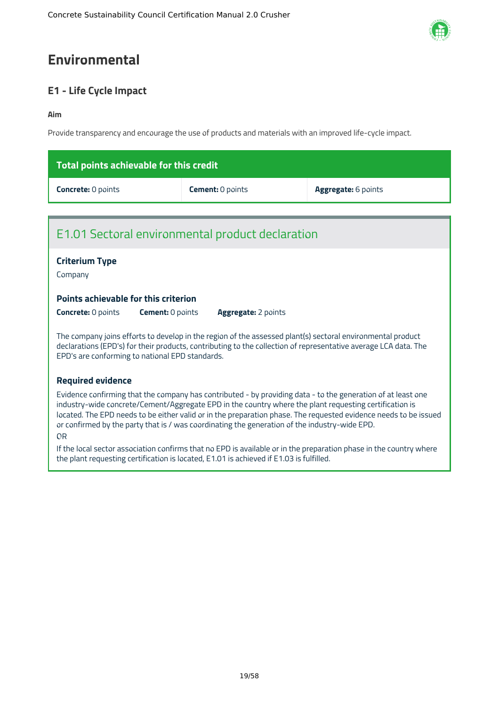## <span id="page-19-0"></span>**Environmental**

### <span id="page-19-1"></span>**E1 - Life Cycle Impact**

#### **Aim**

Provide transparency and encourage the use of products and materials with an improved life-cycle impact.

| Total points achievable for this credit |                         |                            |
|-----------------------------------------|-------------------------|----------------------------|
| <b>Concrete: 0 points</b>               | <b>Cement:</b> 0 points | <b>Aggregate:</b> 6 points |

### E1.01 Sectoral environmental product declaration

### **Criterium Type**

Company

#### **Points achievable for this criterion**

**Concrete:** 0 points **Cement:** 0 points **Aggregate:** 2 points

The company joins efforts to develop in the region of the assessed plant(s) sectoral environmental product declarations (EPD's) for their products, contributing to the collection of representative average LCA data. The EPD's are conforming to national EPD standards.

#### **Required evidence**

Evidence confirming that the company has contributed - by providing data - to the generation of at least one industry-wide concrete/Cement/Aggregate EPD in the country where the plant requesting certification is located. The EPD needs to be either valid or in the preparation phase. The requested evidence needs to be issued or confirmed by the party that is / was coordinating the generation of the industry-wide EPD.

#### OR

If the local sector association confirms that no EPD is available or in the preparation phase in the country where the plant requesting certification is located, E1.01 is achieved if E1.03 is fulfilled.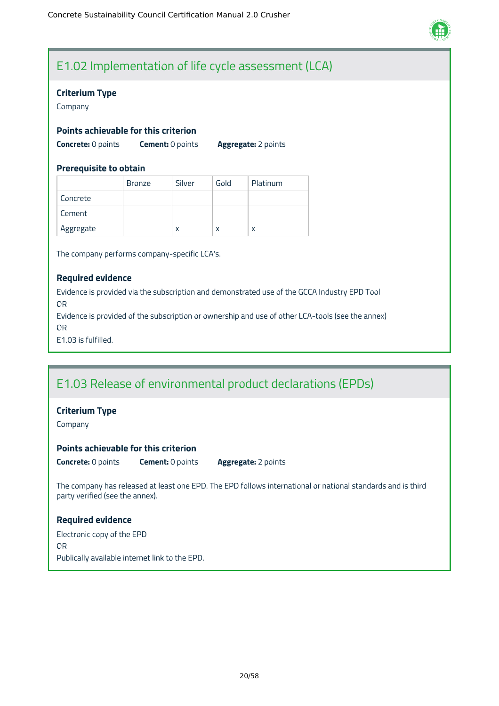

### E1.02 Implementation of life cycle assessment (LCA)

#### **Criterium Type**

Company

#### **Points achievable for this criterion**

**Concrete:** 0 points **Cement:** 0 points **Aggregate:** 2 points

#### **Prerequisite to obtain**

|           | Bronze | Silver | Gold | Platinum |
|-----------|--------|--------|------|----------|
| Concrete  |        |        |      |          |
| Cement    |        |        |      |          |
| Aggregate |        | X      | x    | x        |

The company performs company-specific LCA's.

#### **Required evidence**

Evidence is provided via the subscription and demonstrated use of the GCCA Industry EPD Tool OR

Evidence is provided of the subscription or ownership and use of other LCA-tools (see the annex) OR

E1.03 is fulfilled.

### E1.03 Release of environmental product declarations (EPDs)

#### **Criterium Type**

Company

#### **Points achievable for this criterion**

**Concrete:** 0 points **Cement:** 0 points **Aggregate:** 2 points

The company has released at least one EPD. The EPD follows international or national standards and is third party verified (see the annex).

#### **Required evidence**

Electronic copy of the EPD OR Publically available internet link to the EPD.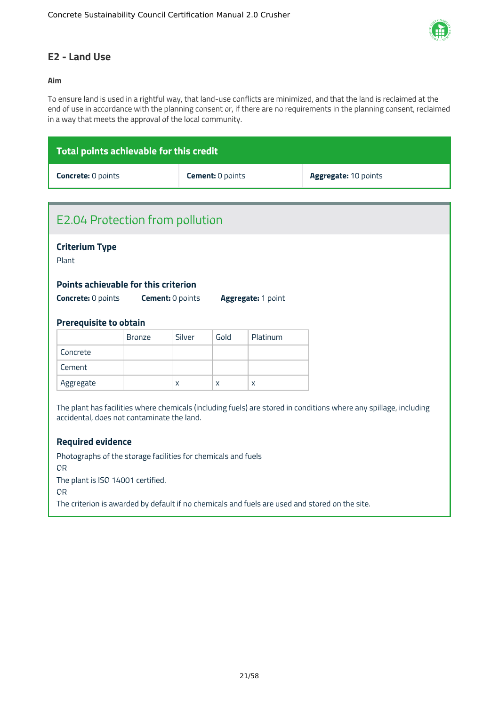

### <span id="page-21-0"></span>**E2 - Land Use**

#### **Aim**

To ensure land is used in a rightful way, that land-use conflicts are minimized, and that the land is reclaimed at the end of use in accordance with the planning consent or, if there are no requirements in the planning consent, reclaimed in a way that meets the approval of the local community.

| Total points achievable for this credit |                         |                             |
|-----------------------------------------|-------------------------|-----------------------------|
| <b>Concrete: 0 points</b>               | <b>Cement:</b> 0 points | <b>Aggregate: 10 points</b> |

| <b>E2.04 Protection from pollution</b>                                                                            |               |                         |      |                    |
|-------------------------------------------------------------------------------------------------------------------|---------------|-------------------------|------|--------------------|
| <b>Criterium Type</b><br>Plant                                                                                    |               |                         |      |                    |
|                                                                                                                   |               |                         |      |                    |
| Points achievable for this criterion                                                                              |               |                         |      |                    |
| <b>Concrete: 0 points</b>                                                                                         |               | <b>Cement: 0 points</b> |      | Aggregate: 1 point |
| <b>Prerequisite to obtain</b>                                                                                     |               |                         |      |                    |
|                                                                                                                   | <b>Bronze</b> | Silver                  | Gold | Platinum           |
| Concrete                                                                                                          |               |                         |      |                    |
| Cement                                                                                                            |               |                         |      |                    |
| Aggregate                                                                                                         |               | X                       | X    | X                  |
| The plant has facilities where chemicals (including fuels) are stored in conditions where any spillage, including |               |                         |      |                    |
| accidental, does not contaminate the land.                                                                        |               |                         |      |                    |
|                                                                                                                   |               |                         |      |                    |
| <b>Required evidence</b>                                                                                          |               |                         |      |                    |
| Photographs of the storage facilities for chemicals and fuels                                                     |               |                         |      |                    |
| <b>OR</b>                                                                                                         |               |                         |      |                    |
| The plant is ISO 14001 certified.<br><b>OR</b>                                                                    |               |                         |      |                    |
| The criterion is awarded by default if no chemicals and fuels are used and stored on the site.                    |               |                         |      |                    |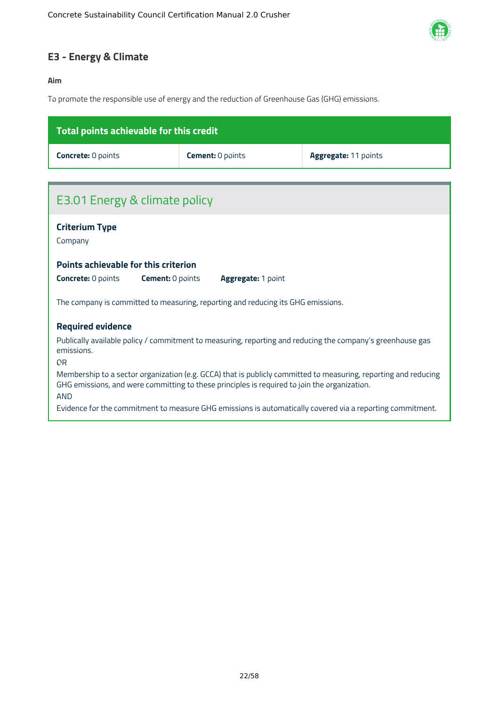

### <span id="page-22-0"></span>**E3 - Energy & Climate**

#### **Aim**

To promote the responsible use of energy and the reduction of Greenhouse Gas (GHG) emissions.

| Total points achievable for this credit                                                                                                                                                                                       |                         |                                                                                                           |  |  |  |
|-------------------------------------------------------------------------------------------------------------------------------------------------------------------------------------------------------------------------------|-------------------------|-----------------------------------------------------------------------------------------------------------|--|--|--|
| <b>Concrete: 0 points</b>                                                                                                                                                                                                     | <b>Cement: 0 points</b> | Aggregate: 11 points                                                                                      |  |  |  |
|                                                                                                                                                                                                                               |                         |                                                                                                           |  |  |  |
| E3.01 Energy & climate policy                                                                                                                                                                                                 |                         |                                                                                                           |  |  |  |
| <b>Criterium Type</b><br>Company                                                                                                                                                                                              |                         |                                                                                                           |  |  |  |
| Points achievable for this criterion                                                                                                                                                                                          |                         |                                                                                                           |  |  |  |
| <b>Concrete: 0 points</b><br><b>Cement: 0 points</b>                                                                                                                                                                          | Aggregate: 1 point      |                                                                                                           |  |  |  |
| The company is committed to measuring, reporting and reducing its GHG emissions.                                                                                                                                              |                         |                                                                                                           |  |  |  |
| <b>Required evidence</b>                                                                                                                                                                                                      |                         |                                                                                                           |  |  |  |
| Publically available policy / commitment to measuring, reporting and reducing the company's greenhouse gas<br>emissions.<br>0 <sub>R</sub>                                                                                    |                         |                                                                                                           |  |  |  |
| Membership to a sector organization (e.g. GCCA) that is publicly committed to measuring, reporting and reducing<br>GHG emissions, and were committing to these principles is required to join the organization.<br><b>AND</b> |                         |                                                                                                           |  |  |  |
|                                                                                                                                                                                                                               |                         | Evidence for the commitment to measure GHG emissions is automatically covered via a reporting commitment. |  |  |  |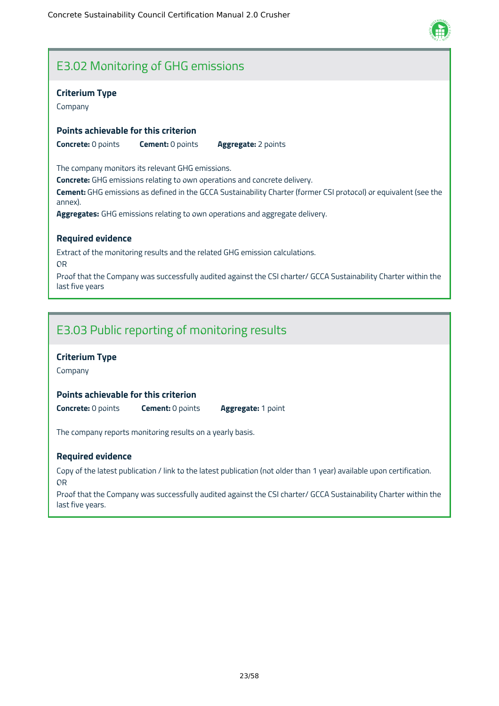

### E3.02 Monitoring of GHG emissions

#### **Criterium Type**

Company

#### **Points achievable for this criterion**

**Concrete:** 0 points **Cement:** 0 points **Aggregate:** 2 points

The company monitors its relevant GHG emissions.

**Concrete:** GHG emissions relating to own operations and concrete delivery.

**Cement:** GHG emissions as defined in the GCCA Sustainability Charter (former CSI protocol) or equivalent (see the annex).

**Aggregates:** GHG emissions relating to own operations and aggregate delivery.

#### **Required evidence**

Extract of the monitoring results and the related GHG emission calculations. OR Proof that the Company was successfully audited against the CSI charter/ GCCA Sustainability Charter within the last five years

### E3.03 Public reporting of monitoring results

#### **Criterium Type**

Company

#### **Points achievable for this criterion**

**Concrete:** 0 points **Cement:** 0 points **Aggregate:** 1 point

The company reports monitoring results on a yearly basis.

#### **Required evidence**

Copy of the latest publication / link to the latest publication (not older than 1 year) available upon certification. OR

Proof that the Company was successfully audited against the CSI charter/ GCCA Sustainability Charter within the last five years.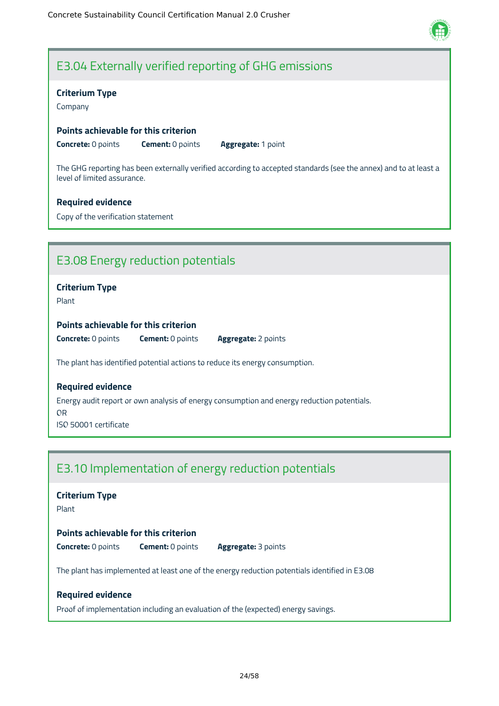

### E3.04 Externally verified reporting of GHG emissions

#### **Criterium Type**

Company

#### **Points achievable for this criterion**

**Concrete:** 0 points **Cement:** 0 points **Aggregate:** 1 point

The GHG reporting has been externally verified according to accepted standards (see the annex) and to at least a level of limited assurance.

#### **Required evidence**

Copy of the verification statement

### E3.08 Energy reduction potentials

#### **Criterium Type**

Plant

#### **Points achievable for this criterion**

**Concrete:** 0 points **Cement:** 0 points **Aggregate:** 2 points

The plant has identified potential actions to reduce its energy consumption.

#### **Required evidence**

Energy audit report or own analysis of energy consumption and energy reduction potentials.

OR ISO 50001 certificate

### E3.10 Implementation of energy reduction potentials

### **Criterium Type** Plant **Points achievable for this criterion Concrete:** 0 points **Cement:** 0 points **Aggregate:** 3 points

The plant has implemented at least one of the energy reduction potentials identified in E3.08

#### **Required evidence**

Proof of implementation including an evaluation of the (expected) energy savings.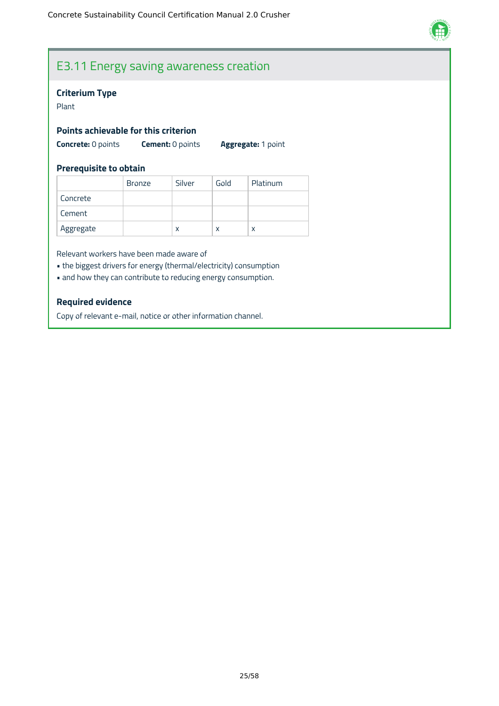

### E3.11 Energy saving awareness creation

#### **Criterium Type**

Plant

#### **Points achievable for this criterion**

**Concrete:** 0 points **Cement:** 0 points **Aggregate:** 1 point

#### **Prerequisite to obtain**

|           | <b>Bronze</b> | Silver | Gold | Platinum |
|-----------|---------------|--------|------|----------|
| Concrete  |               |        |      |          |
| Cement    |               |        |      |          |
| Aggregate |               | x      | x    | х        |

Relevant workers have been made aware of

- the biggest drivers for energy (thermal/electricity) consumption
- and how they can contribute to reducing energy consumption.

#### **Required evidence**

Copy of relevant e-mail, notice or other information channel.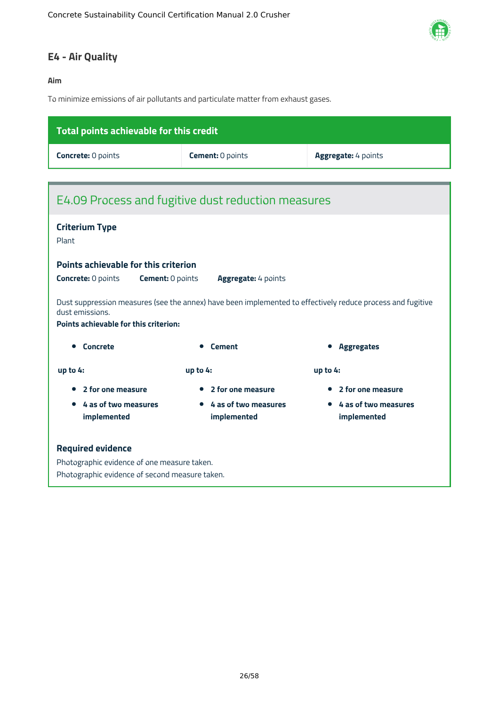

### <span id="page-26-0"></span>**E4 - Air Quality**

#### **Aim**

To minimize emissions of air pollutants and particulate matter from exhaust gases.

| Total points achievable for this credit                                                       |                                                |                                                                                                            |  |  |  |
|-----------------------------------------------------------------------------------------------|------------------------------------------------|------------------------------------------------------------------------------------------------------------|--|--|--|
| <b>Concrete: 0 points</b>                                                                     | <b>Cement: 0 points</b><br>Aggregate: 4 points |                                                                                                            |  |  |  |
|                                                                                               |                                                |                                                                                                            |  |  |  |
| E4.09 Process and fugitive dust reduction measures                                            |                                                |                                                                                                            |  |  |  |
| <b>Criterium Type</b>                                                                         |                                                |                                                                                                            |  |  |  |
| Plant                                                                                         |                                                |                                                                                                            |  |  |  |
| <b>Points achievable for this criterion</b>                                                   |                                                |                                                                                                            |  |  |  |
| <b>Concrete: 0 points</b><br><b>Cement: 0 points</b>                                          | Aggregate: 4 points                            |                                                                                                            |  |  |  |
| dust emissions.<br><b>Points achievable for this criterion:</b>                               |                                                | Dust suppression measures (see the annex) have been implemented to effectively reduce process and fugitive |  |  |  |
| • Concrete                                                                                    | <b>Cement</b>                                  | <b>Aggregates</b>                                                                                          |  |  |  |
| up to 4:                                                                                      | up to $4:$                                     | up to $4:$                                                                                                 |  |  |  |
| 2 for one measure                                                                             | 2 for one measure                              | 2 for one measure                                                                                          |  |  |  |
| 4 as of two measures<br>implemented                                                           | 4 as of two measures<br>implemented            | 4 as of two measures<br>implemented                                                                        |  |  |  |
| <b>Required evidence</b>                                                                      |                                                |                                                                                                            |  |  |  |
| Photographic evidence of one measure taken.<br>Photographic evidence of second measure taken. |                                                |                                                                                                            |  |  |  |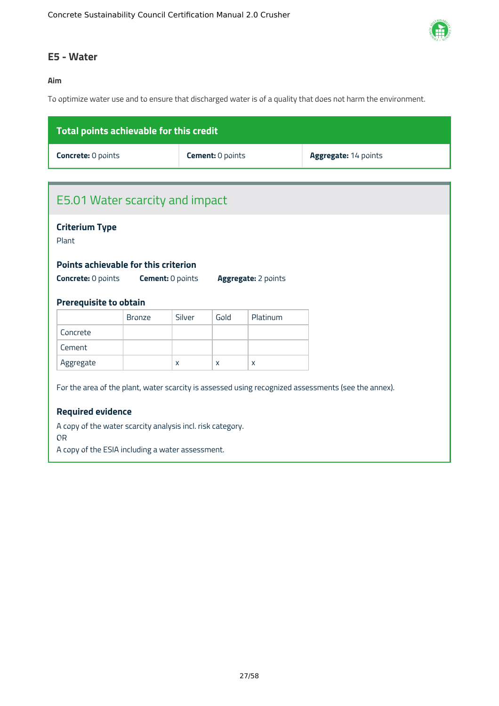

#### <span id="page-27-0"></span>**E5 - Water**

#### **Aim**

To optimize water use and to ensure that discharged water is of a quality that does not harm the environment.

| Total points achievable for this credit |                         |                             |  |  |
|-----------------------------------------|-------------------------|-----------------------------|--|--|
| <b>Concrete: 0 points</b>               | <b>Cement:</b> 0 points | <b>Aggregate: 14 points</b> |  |  |
|                                         |                         |                             |  |  |

## E5.01 Water scarcity and impact **Criterium Type** Plant For the area of the plant, water scarcity is assessed using recognized assessments (see the annex). **Required evidence** A copy of the water scarcity analysis incl. risk category. OR A copy of the ESIA including a water assessment. **Points achievable for this criterion Concrete:** 0 points **Cement:** 0 points **Aggregate:** 2 points **Prerequisite to obtain** Bronze Silver Gold Platinum Concrete Cement Aggregate  $\vert x \vert x \vert x \vert x$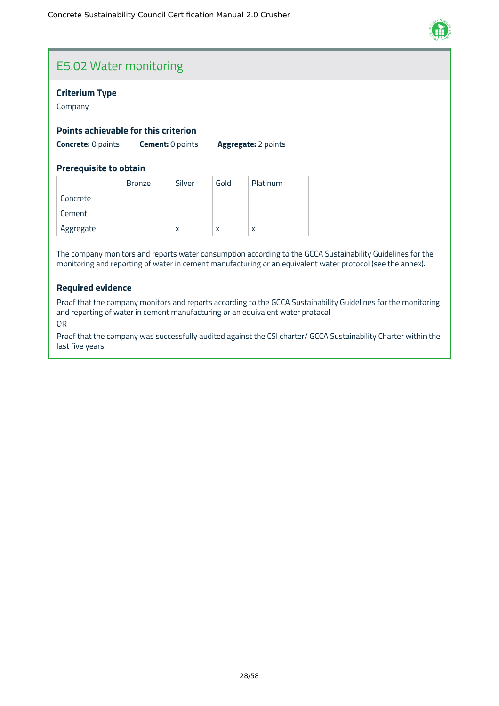

### E5.02 Water monitoring

#### **Criterium Type**

Company

#### **Points achievable for this criterion**

**Concrete:** 0 points **Cement:** 0 points **Aggregate:** 2 points

#### **Prerequisite to obtain**

|           | <b>Bronze</b> | Silver | Gold | Platinum |
|-----------|---------------|--------|------|----------|
| Concrete  |               |        |      |          |
| Cement    |               |        |      |          |
| Aggregate |               | x      | x    | x        |

The company monitors and reports water consumption according to the GCCA Sustainability Guidelines for the monitoring and reporting of water in cement manufacturing or an equivalent water protocol (see the annex).

#### **Required evidence**

Proof that the company monitors and reports according to the GCCA Sustainability Guidelines for the monitoring and reporting of water in cement manufacturing or an equivalent water protocol OR

Proof that the company was successfully audited against the CSI charter/ GCCA Sustainability Charter within the last five years.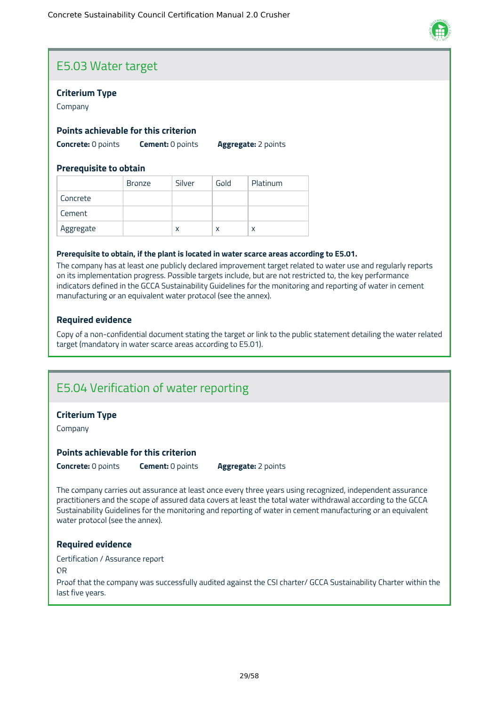

### E5.03 Water target

#### **Criterium Type**

Company

#### **Points achievable for this criterion**

**Concrete:** 0 points **Cement:** 0 points **Aggregate:** 2 points

#### **Prerequisite to obtain**

|           | <b>Bronze</b> | Silver | Gold | Platinum |
|-----------|---------------|--------|------|----------|
| Concrete  |               |        |      |          |
| Cement    |               |        |      |          |
| Aggregate |               | X      | X    | x        |

#### **Prerequisite to obtain, if the plant is located in water scarce areas according to E5.01.**

The company has at least one publicly declared improvement target related to water use and regularly reports on its implementation progress. Possible targets include, but are not restricted to, the key performance indicators defined in the GCCA Sustainability Guidelines for the monitoring and reporting of water in cement manufacturing or an equivalent water protocol (see the annex).

#### **Required evidence**

Copy of a non-confidential document stating the target or link to the public statement detailing the water related target (mandatory in water scarce areas according to E5.01).

### E5.04 Verification of water reporting

#### **Criterium Type**

Company

#### **Points achievable for this criterion**

**Concrete:** 0 points **Cement:** 0 points **Aggregate:** 2 points

The company carries out assurance at least once every three years using recognized, independent assurance practitioners and the scope of assured data covers at least the total water withdrawal according to the GCCA Sustainability Guidelines for the monitoring and reporting of water in cement manufacturing or an equivalent water protocol (see the annex).

#### **Required evidence**

Certification / Assurance report

OR

Proof that the company was successfully audited against the CSI charter/ GCCA Sustainability Charter within the last five years.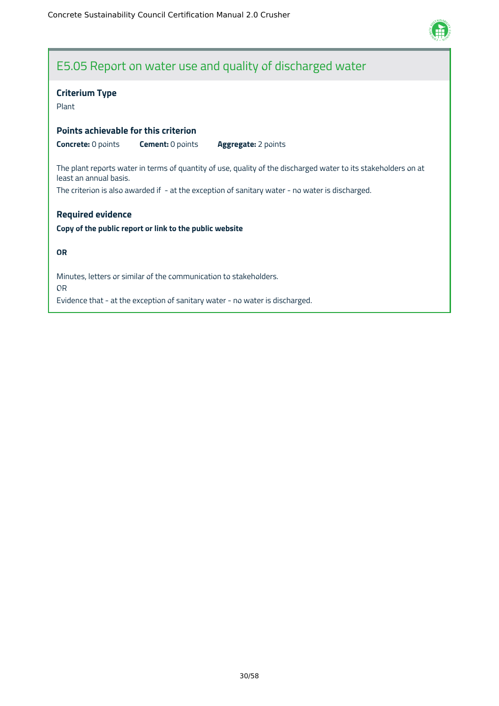

### E5.05 Report on water use and quality of discharged water

#### **Criterium Type**

Plant

#### **Points achievable for this criterion**

**Concrete:** 0 points **Cement:** 0 points **Aggregate:** 2 points

The plant reports water in terms of quantity of use, quality of the discharged water to its stakeholders on at least an annual basis.

The criterion is also awarded if - at the exception of sanitary water - no water is discharged.

#### **Required evidence**

#### **Copy of the public report or link to the public website**

#### **OR**

Minutes, letters or similar of the communication to stakeholders. OR Evidence that - at the exception of sanitary water - no water is discharged.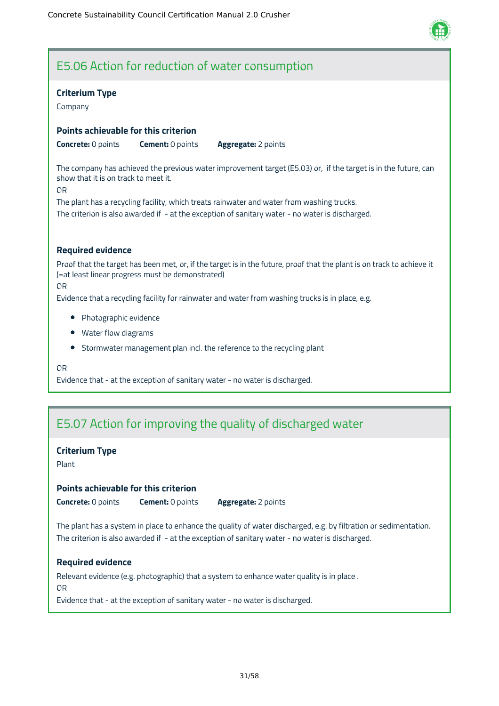

### E5.06 Action for reduction of water consumption

#### **Criterium Type**

Company

#### **Points achievable for this criterion**

**Concrete:** 0 points **Cement:** 0 points **Aggregate:** 2 points

The company has achieved the previous water improvement target (E5.03) or, if the target is in the future, can show that it is on track to meet it.

OR

The plant has a recycling facility, which treats rainwater and water from washing trucks. The criterion is also awarded if - at the exception of sanitary water - no water is discharged.

#### **Required evidence**

Proof that the target has been met, or, if the target is in the future, proof that the plant is on track to achieve it (=at least linear progress must be demonstrated)

OR

Evidence that a recycling facility for rainwater and water from washing trucks is in place, e.g.

- Photographic evidence
- Water flow diagrams
- Stormwater management plan incl. the reference to the recycling plant

OR

Evidence that - at the exception of sanitary water - no water is discharged.

### E5.07 Action for improving the quality of discharged water

#### **Criterium Type**

Plant

#### **Points achievable for this criterion**

**Concrete:** 0 points **Cement:** 0 points **Aggregate:** 2 points

The plant has a system in place to enhance the quality of water discharged, e.g. by filtration or sedimentation. The criterion is also awarded if - at the exception of sanitary water - no water is discharged.

#### **Required evidence**

Relevant evidence (e.g. photographic) that a system to enhance water quality is in place .

OR

Evidence that - at the exception of sanitary water - no water is discharged.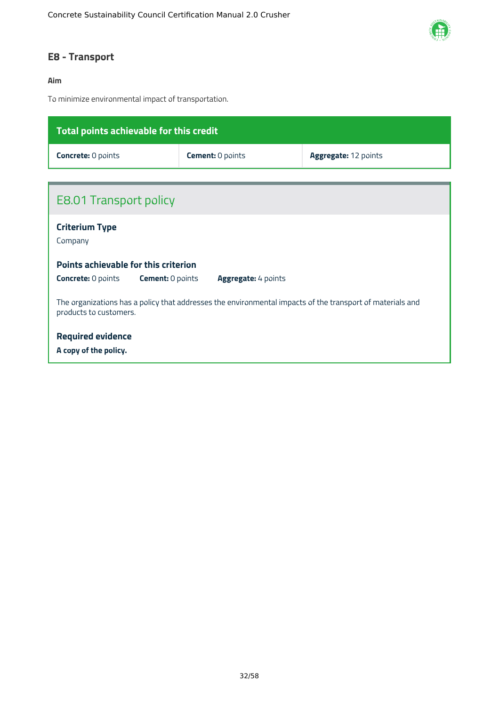

### <span id="page-32-0"></span>**E8 - Transport**

#### **Aim**

To minimize environmental impact of transportation.

| Total points achievable for this credit                                                                                             |                         |                      |  |  |  |
|-------------------------------------------------------------------------------------------------------------------------------------|-------------------------|----------------------|--|--|--|
| <b>Concrete: 0 points</b>                                                                                                           | <b>Cement: 0 points</b> | Aggregate: 12 points |  |  |  |
|                                                                                                                                     |                         |                      |  |  |  |
| <b>E8.01 Transport policy</b>                                                                                                       |                         |                      |  |  |  |
| <b>Criterium Type</b><br>Company                                                                                                    |                         |                      |  |  |  |
| Points achievable for this criterion                                                                                                |                         |                      |  |  |  |
| <b>Concrete: 0 points</b><br><b>Cement: 0 points</b><br><b>Aggregate: 4 points</b>                                                  |                         |                      |  |  |  |
| The organizations has a policy that addresses the environmental impacts of the transport of materials and<br>products to customers. |                         |                      |  |  |  |
| <b>Required evidence</b>                                                                                                            |                         |                      |  |  |  |
| A copy of the policy.                                                                                                               |                         |                      |  |  |  |
|                                                                                                                                     |                         |                      |  |  |  |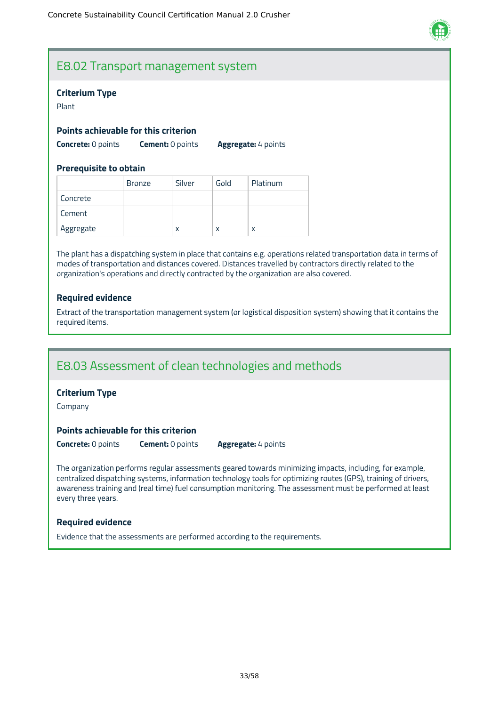

### E8.02 Transport management system

#### **Criterium Type**

Plant

#### **Points achievable for this criterion**

**Concrete:** 0 points **Cement:** 0 points **Aggregate:** 4 points

#### **Prerequisite to obtain**

|           | <b>Bronze</b> | Silver | Gold | Platinum |
|-----------|---------------|--------|------|----------|
| Concrete  |               |        |      |          |
| Cement    |               |        |      |          |
| Aggregate |               | X      | x    | X        |

The plant has a dispatching system in place that contains e.g. operations related transportation data in terms of modes of transportation and distances covered. Distances travelled by contractors directly related to the organization's operations and directly contracted by the organization are also covered.

#### **Required evidence**

Extract of the transportation management system (or logistical disposition system) showing that it contains the required items.

### E8.03 Assessment of clean technologies and methods

#### **Criterium Type**

Company

#### **Points achievable for this criterion**

**Concrete:** 0 points **Cement:** 0 points **Aggregate:** 4 points

The organization performs regular assessments geared towards minimizing impacts, including, for example, centralized dispatching systems, information technology tools for optimizing routes (GPS), training of drivers, awareness training and (real time) fuel consumption monitoring. The assessment must be performed at least every three years.

#### **Required evidence**

Evidence that the assessments are performed according to the requirements.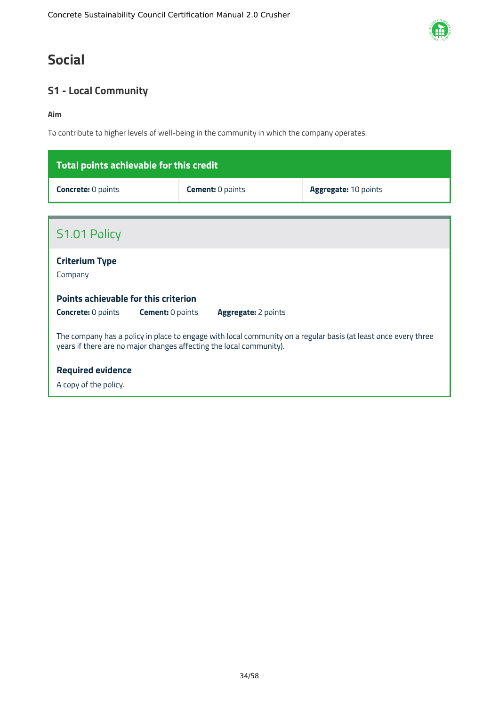### <span id="page-34-0"></span>**Social**

### <span id="page-34-1"></span>**S1 - Local Community**

#### **Aim**

To contribute to higher levels of well-being in the community in which the company operates.

| Total points achievable for this credit |                         |                             |  |  |
|-----------------------------------------|-------------------------|-----------------------------|--|--|
| <b>Concrete: 0 points</b>               | <b>Cement:</b> 0 points | <b>Aggregate: 10 points</b> |  |  |

| S1.01 Policy                                                                                                                                                                          |  |  |  |  |
|---------------------------------------------------------------------------------------------------------------------------------------------------------------------------------------|--|--|--|--|
| <b>Criterium Type</b><br>Company                                                                                                                                                      |  |  |  |  |
| Points achievable for this criterion<br><b>Concrete: 0 points</b><br><b>Cement:</b> 0 points<br><b>Aggregate:</b> 2 points                                                            |  |  |  |  |
| The company has a policy in place to engage with local community on a regular basis (at least once every three<br>years if there are no major changes affecting the local community). |  |  |  |  |
| <b>Required evidence</b><br>A copy of the policy.                                                                                                                                     |  |  |  |  |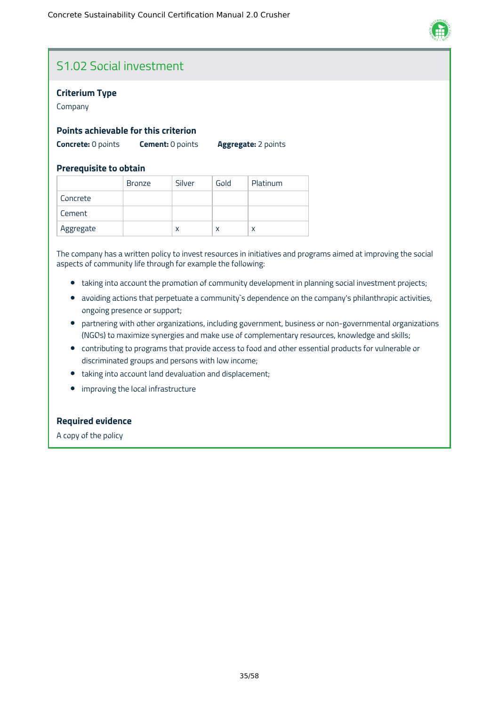

### S1.02 Social investment

#### **Criterium Type**

Company

#### **Points achievable for this criterion**

**Concrete:** 0 points **Cement:** 0 points **Aggregate:** 2 points

#### **Prerequisite to obtain**

|           | <b>Bronze</b> | Silver | Gold | Platinum |
|-----------|---------------|--------|------|----------|
| Concrete  |               |        |      |          |
| Cement    |               |        |      |          |
| Aggregate |               | x      | x    | χ        |

The company has a written policy to invest resources in initiatives and programs aimed at improving the social aspects of community life through for example the following:

- taking into account the promotion of community development in planning social investment projects;
- avoiding actions that perpetuate a community`s dependence on the company's philanthropic activities, ongoing presence or support;
- partnering with other organizations, including government, business or non-governmental organizations (NGOs) to maximize synergies and make use of complementary resources, knowledge and skills;
- contributing to programs that provide access to food and other essential products for vulnerable or discriminated groups and persons with low income;
- taking into account land devaluation and displacement;
- improving the local infrastructure  $\bullet$

#### **Required evidence**

A copy of the policy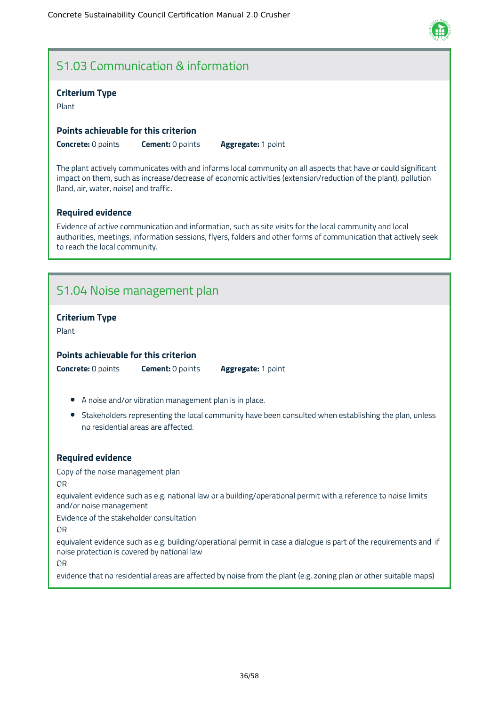### S1.03 Communication & information

#### **Criterium Type**

Plant

#### **Points achievable for this criterion**

**Concrete:** 0 points **Cement:** 0 points **Aggregate:** 1 point

The plant actively communicates with and informs local community on all aspects that have or could significant impact on them, such as increase/decrease of economic activities (extension/reduction of the plant), pollution (land, air, water, noise) and traffic.

#### **Required evidence**

Evidence of active communication and information, such as site visits for the local community and local authorities, meetings, information sessions, flyers, folders and other forms of communication that actively seek to reach the local community.

### S1.04 Noise management plan

#### **Criterium Type**

Plant

#### **Points achievable for this criterion**

**Concrete:** 0 points **Cement:** 0 points **Aggregate:** 1 point

- A noise and/or vibration management plan is in place.
- Stakeholders representing the local community have been consulted when establishing the plan, unless no residential areas are affected.

#### **Required evidence**

Copy of the noise management plan

OR

equivalent evidence such as e.g. national law or a building/operational permit with a reference to noise limits and/or noise management

Evidence of the stakeholder consultation

OR

equivalent evidence such as e.g. building/operational permit in case a dialogue is part of the requirements and if noise protection is covered by national law

OR

evidence that no residential areas are affected by noise from the plant (e.g. zoning plan or other suitable maps)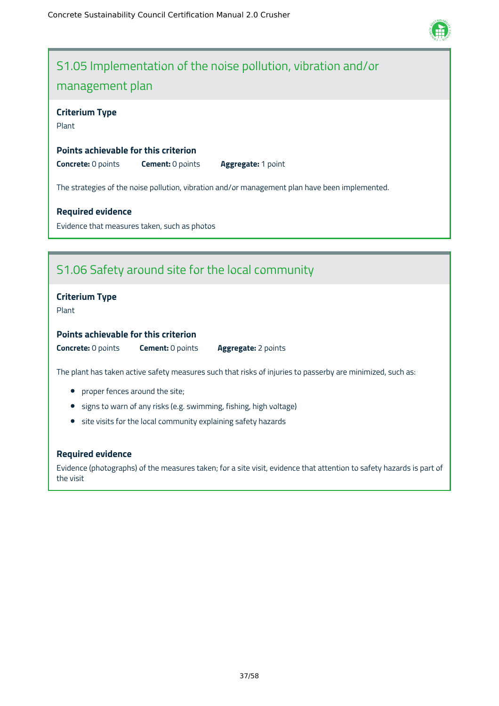

### S1.05 Implementation of the noise pollution, vibration and/or management plan

#### **Criterium Type**

Plant

#### **Points achievable for this criterion**

**Concrete:** 0 points **Cement:** 0 points **Aggregate:** 1 point

The strategies of the noise pollution, vibration and/or management plan have been implemented.

#### **Required evidence**

Evidence that measures taken, such as photos

### S1.06 Safety around site for the local community

#### **Criterium Type**

Plant

#### **Points achievable for this criterion**

**Concrete:** 0 points **Cement:** 0 points **Aggregate:** 2 points

The plant has taken active safety measures such that risks of injuries to passerby are minimized, such as:

- proper fences around the site;
- **•** signs to warn of any risks (e.g. swimming, fishing, high voltage)
- site visits for the local community explaining safety hazards

#### **Required evidence**

Evidence (photographs) of the measures taken; for a site visit, evidence that attention to safety hazards is part of the visit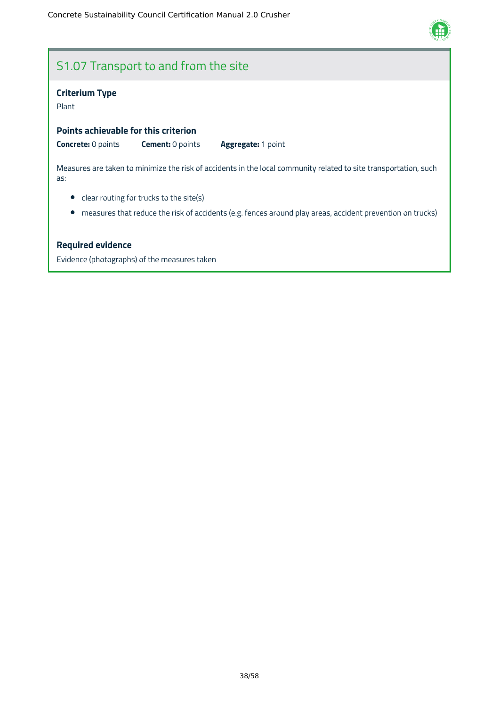

### S1.07 Transport to and from the site

#### **Criterium Type**

Plant

**Points achievable for this criterion**

**Concrete:** 0 points **Cement:** 0 points **Aggregate:** 1 point

Measures are taken to minimize the risk of accidents in the local community related to site transportation, such as:

- clear routing for trucks to the site(s)
- measures that reduce the risk of accidents (e.g. fences around play areas, accident prevention on trucks)

#### **Required evidence**

Evidence (photographs) of the measures taken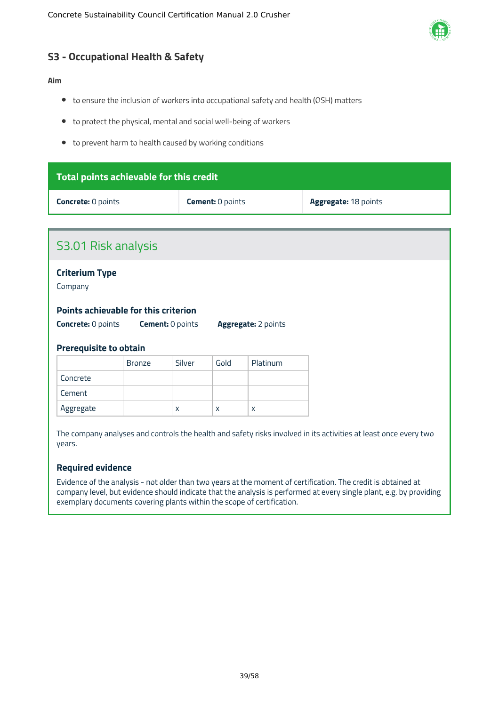

### <span id="page-39-0"></span>**S3 - Occupational Health & Safety**

#### **Aim**

- to ensure the inclusion of workers into occupational safety and health (OSH) matters
- to protect the physical, mental and social well-being of workers
- to prevent harm to health caused by working conditions

| Total points achievable for this credit                                                                                                                            |                       |        |                         |          |                      |
|--------------------------------------------------------------------------------------------------------------------------------------------------------------------|-----------------------|--------|-------------------------|----------|----------------------|
| <b>Concrete: 0 points</b>                                                                                                                                          |                       |        | <b>Cement: 0 points</b> |          | Aggregate: 18 points |
|                                                                                                                                                                    |                       |        |                         |          |                      |
| S3.01 Risk analysis                                                                                                                                                |                       |        |                         |          |                      |
| Company                                                                                                                                                            | <b>Criterium Type</b> |        |                         |          |                      |
| <b>Points achievable for this criterion</b><br><b>Concrete: 0 points</b><br><b>Cement: 0 points</b><br><b>Aggregate:</b> 2 points<br><b>Prerequisite to obtain</b> |                       |        |                         |          |                      |
|                                                                                                                                                                    | <b>Bronze</b>         | Silver | Gold                    | Platinum |                      |
| Concrete                                                                                                                                                           |                       |        |                         |          |                      |
| Cement                                                                                                                                                             |                       |        |                         |          |                      |
| Aggregate<br>X<br>$\mathsf{x}$<br>X                                                                                                                                |                       |        |                         |          |                      |
| The company analyses and controls the health and safety risks involved in its activities at least once every two<br>years.                                         |                       |        |                         |          |                      |

#### **Required evidence**

Evidence of the analysis - not older than two years at the moment of certification. The credit is obtained at company level, but evidence should indicate that the analysis is performed at every single plant, e.g. by providing exemplary documents covering plants within the scope of certification.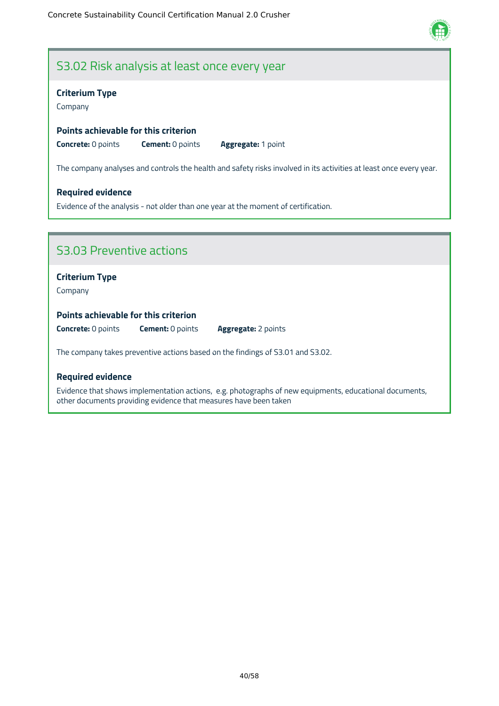

### S3.02 Risk analysis at least once every year

#### **Criterium Type**

Company

#### **Points achievable for this criterion**

**Concrete:** 0 points **Cement:** 0 points **Aggregate:** 1 point

The company analyses and controls the health and safety risks involved in its activities at least once every year.

#### **Required evidence**

Evidence of the analysis - not older than one year at the moment of certification.

### S3.03 Preventive actions

#### **Criterium Type**

Company

#### **Points achievable for this criterion**

**Concrete:** 0 points **Cement:** 0 points **Aggregate:** 2 points

The company takes preventive actions based on the findings of S3.01 and S3.02.

#### **Required evidence**

Evidence that shows implementation actions, e.g. photographs of new equipments, educational documents, other documents providing evidence that measures have been taken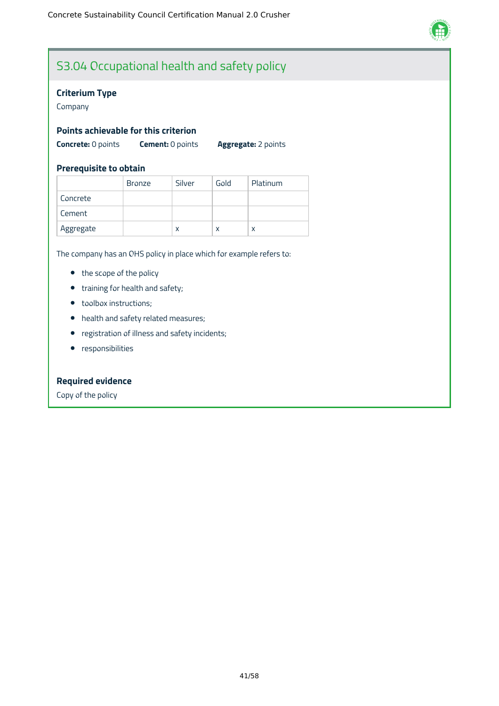

### S3.04 Occupational health and safety policy

#### **Criterium Type**

Company

#### **Points achievable for this criterion**

**Concrete:** 0 points **Cement:** 0 points **Aggregate:** 2 points

#### **Prerequisite to obtain**

|           | <b>Bronze</b> | Silver | Gold | Platinum |
|-----------|---------------|--------|------|----------|
| Concrete  |               |        |      |          |
| Cement    |               |        |      |          |
| Aggregate |               | x      | x    | x        |

The company has an OHS policy in place which for example refers to:

- the scope of the policy
- training for health and safety;
- toolbox instructions;
- health and safety related measures;
- registration of illness and safety incidents;
- **•** responsibilities

#### **Required evidence**

Copy of the policy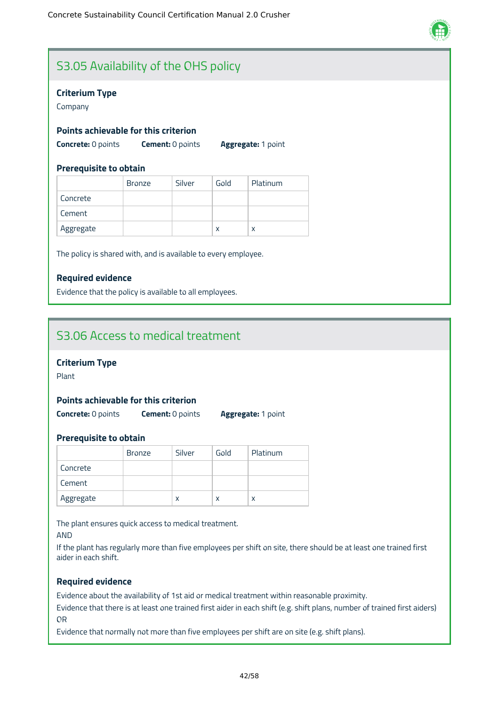

### S3.05 Availability of the OHS policy

#### **Criterium Type**

Company

#### **Points achievable for this criterion**

**Concrete:** 0 points **Cement:** 0 points **Aggregate:** 1 point

#### **Prerequisite to obtain**

|           | <b>Bronze</b> | Silver | Gold | Platinum |
|-----------|---------------|--------|------|----------|
| Concrete  |               |        |      |          |
| Cement    |               |        |      |          |
| Aggregate |               |        | X    | X        |

The policy is shared with, and is available to every employee.

#### **Required evidence**

Evidence that the policy is available to all employees.

### S3.06 Access to medical treatment

#### **Criterium Type**

Plant

#### **Points achievable for this criterion**

**Concrete:** 0 points **Cement:** 0 points **Aggregate:** 1 point

#### **Prerequisite to obtain**

|           | <b>Bronze</b> | Silver | Gold | Platinum |
|-----------|---------------|--------|------|----------|
| Concrete  |               |        |      |          |
| Cement    |               |        |      |          |
| Aggregate |               | x      | x    | x        |

The plant ensures quick access to medical treatment.

AND

If the plant has regularly more than five employees per shift on site, there should be at least one trained first aider in each shift.

#### **Required evidence**

Evidence about the availability of 1st aid or medical treatment within reasonable proximity.

Evidence that there is at least one trained first aider in each shift (e.g. shift plans, number of trained first aiders) OR

Evidence that normally not more than five employees per shift are on site (e.g. shift plans).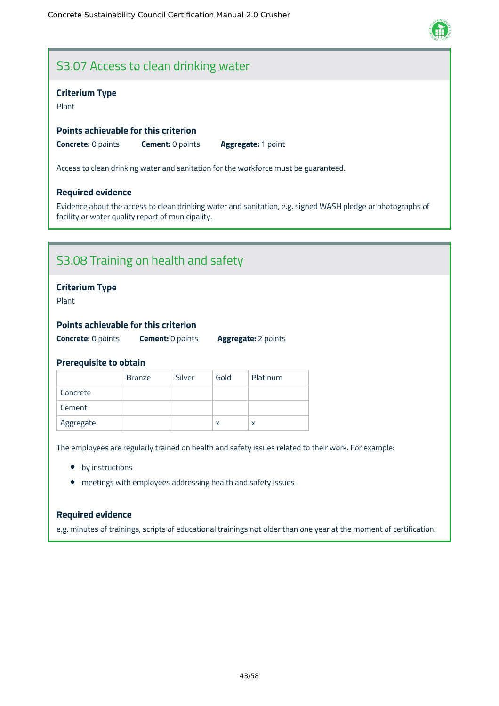### S3.07 Access to clean drinking water

#### **Criterium Type**

Plant

#### **Points achievable for this criterion**

**Concrete:** 0 points **Cement:** 0 points **Aggregate:** 1 point

Access to clean drinking water and sanitation for the workforce must be guaranteed.

#### **Required evidence**

Evidence about the access to clean drinking water and sanitation, e.g. signed WASH pledge or photographs of facility or water quality report of municipality.

### S3.08 Training on health and safety

#### **Criterium Type**

Plant

#### **Points achievable for this criterion**

**Concrete:** 0 points **Cement:** 0 points **Aggregate:** 2 points

#### **Prerequisite to obtain**

|           | <b>Bronze</b> | Silver | Gold | Platinum |
|-----------|---------------|--------|------|----------|
| Concrete  |               |        |      |          |
| Cement    |               |        |      |          |
| Aggregate |               |        | x    | x        |

The employees are regularly trained on health and safety issues related to their work. For example:

- by instructions
- meetings with employees addressing health and safety issues

#### **Required evidence**

e.g. minutes of trainings, scripts of educational trainings not older than one year at the moment of certification.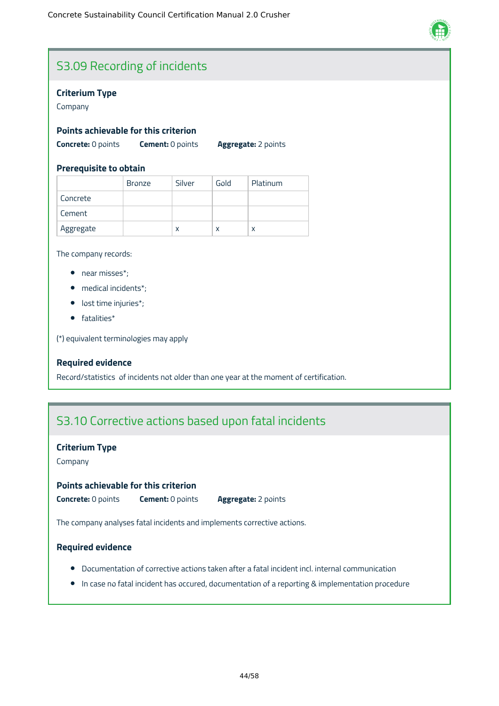

### S3.09 Recording of incidents

#### **Criterium Type**

Company

#### **Points achievable for this criterion**

**Concrete:** 0 points **Cement:** 0 points **Aggregate:** 2 points

#### **Prerequisite to obtain**

|           | <b>Bronze</b> | Silver | Gold | Platinum |
|-----------|---------------|--------|------|----------|
| Concrete  |               |        |      |          |
| Cement    |               |        |      |          |
| Aggregate |               | x      | x    | X        |

The company records:

- near misses\*;
- medical incidents\*;
- lost time injuries\*;
- fatalities\*

(\*) equivalent terminologies may apply

#### **Required evidence**

Record/statistics of incidents not older than one year at the moment of certification.

### S3.10 Corrective actions based upon fatal incidents

#### **Criterium Type**

Company

#### **Points achievable for this criterion**

**Concrete:** 0 points **Cement:** 0 points **Aggregate:** 2 points

The company analyses fatal incidents and implements corrective actions.

#### **Required evidence**

- Documentation of corrective actions taken after a fatal incident incl. internal communication
- In case no fatal incident has occured, documentation of a reporting & implementation procedure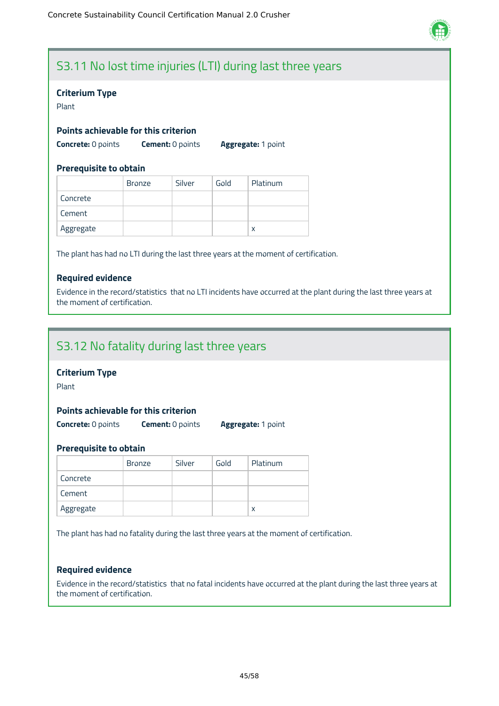

### S3.11 No lost time injuries (LTI) during last three years

#### **Criterium Type**

Plant

#### **Points achievable for this criterion**

**Concrete:** 0 points **Cement:** 0 points **Aggregate:** 1 point

#### **Prerequisite to obtain**

|           | <b>Bronze</b> | Silver | Gold | Platinum |
|-----------|---------------|--------|------|----------|
| Concrete  |               |        |      |          |
| Cement    |               |        |      |          |
| Aggregate |               |        |      | X        |

The plant has had no LTI during the last three years at the moment of certification.

#### **Required evidence**

Evidence in the record/statistics that no LTI incidents have occurred at the plant during the last three years at the moment of certification.

### S3.12 No fatality during last three years

#### **Criterium Type**

Plant

#### **Points achievable for this criterion**

**Concrete:** 0 points **Cement:** 0 points **Aggregate:** 1 point

#### **Prerequisite to obtain**

|           | <b>Bronze</b> | Silver | Gold | Platinum |
|-----------|---------------|--------|------|----------|
| Concrete  |               |        |      |          |
| Cement    |               |        |      |          |
| Aggregate |               |        |      |          |

The plant has had no fatality during the last three years at the moment of certification.

#### **Required evidence**

Evidence in the record/statistics that no fatal incidents have occurred at the plant during the last three years at the moment of certification.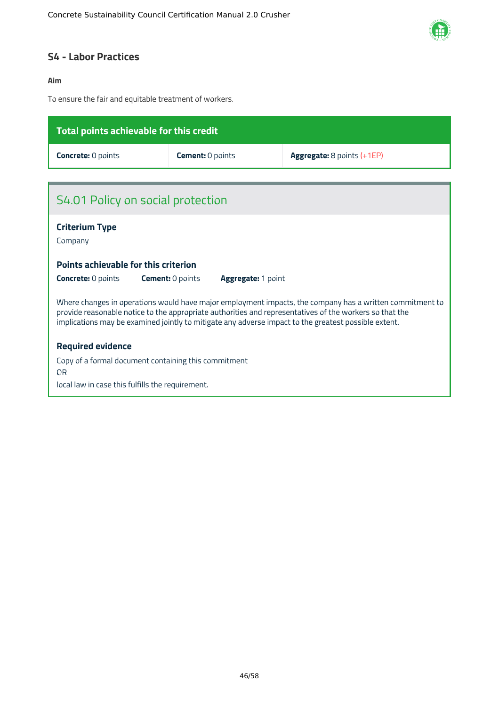

### <span id="page-46-0"></span>**S4 - Labor Practices**

#### **Aim**

To ensure the fair and equitable treatment of workers.

| Total points achievable for this credit                                                                                                                                                                                                                                                                                     |                         |                            |  |  |  |  |  |
|-----------------------------------------------------------------------------------------------------------------------------------------------------------------------------------------------------------------------------------------------------------------------------------------------------------------------------|-------------------------|----------------------------|--|--|--|--|--|
| <b>Concrete: 0 points</b>                                                                                                                                                                                                                                                                                                   | <b>Cement: 0 points</b> | Aggregate: 8 points (+1EP) |  |  |  |  |  |
|                                                                                                                                                                                                                                                                                                                             |                         |                            |  |  |  |  |  |
| S4.01 Policy on social protection                                                                                                                                                                                                                                                                                           |                         |                            |  |  |  |  |  |
| <b>Criterium Type</b><br>Company                                                                                                                                                                                                                                                                                            |                         |                            |  |  |  |  |  |
| Points achievable for this criterion                                                                                                                                                                                                                                                                                        |                         |                            |  |  |  |  |  |
| <b>Concrete: 0 points</b><br><b>Cement: 0 points</b><br><b>Aggregate: 1 point</b>                                                                                                                                                                                                                                           |                         |                            |  |  |  |  |  |
| Where changes in operations would have major employment impacts, the company has a written commitment to<br>provide reasonable notice to the appropriate authorities and representatives of the workers so that the<br>implications may be examined jointly to mitigate any adverse impact to the greatest possible extent. |                         |                            |  |  |  |  |  |
| <b>Required evidence</b>                                                                                                                                                                                                                                                                                                    |                         |                            |  |  |  |  |  |
| Copy of a formal document containing this commitment<br>OR                                                                                                                                                                                                                                                                  |                         |                            |  |  |  |  |  |
| local law in case this fulfills the requirement.                                                                                                                                                                                                                                                                            |                         |                            |  |  |  |  |  |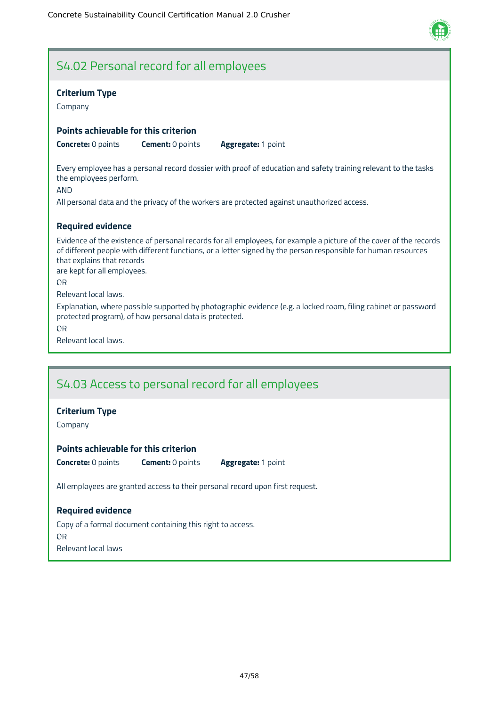

### S4.02 Personal record for all employees

#### **Criterium Type**

Company

#### **Points achievable for this criterion**

**Concrete:** 0 points **Cement:** 0 points **Aggregate:** 1 point

Every employee has a personal record dossier with proof of education and safety training relevant to the tasks the employees perform.

AND

All personal data and the privacy of the workers are protected against unauthorized access.

#### **Required evidence**

Evidence of the existence of personal records for all employees, for example a picture of the cover of the records of different people with different functions, or a letter signed by the person responsible for human resources that explains that records

are kept for all employees.

OR

Relevant local laws.

Explanation, where possible supported by photographic evidence (e.g. a locked room, filing cabinet or password protected program), of how personal data is protected.

OR

Relevant local laws.

### S4.03 Access to personal record for all employees

#### **Criterium Type**

Company

#### **Points achievable for this criterion**

**Concrete:** 0 points **Cement:** 0 points **Aggregate:** 1 point

All employees are granted access to their personal record upon first request.

#### **Required evidence**

Copy of a formal document containing this right to access. OR Relevant local laws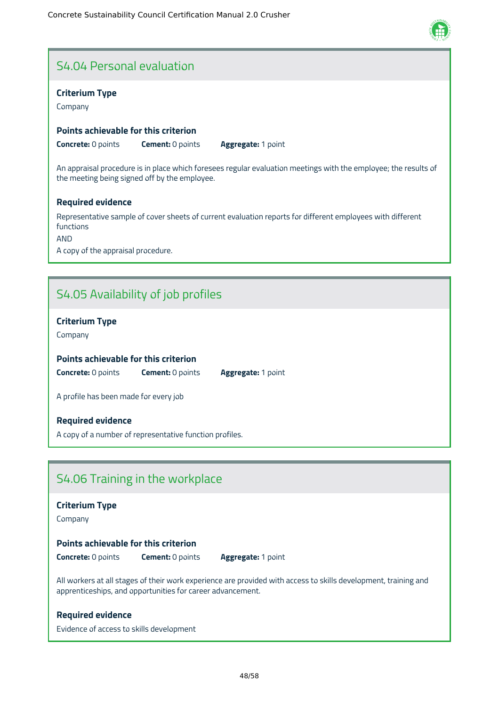

### S4.04 Personal evaluation

#### **Criterium Type**

Company

#### **Points achievable for this criterion**

**Concrete:** 0 points **Cement:** 0 points **Aggregate:** 1 point

An appraisal procedure is in place which foresees regular evaluation meetings with the employee; the results of the meeting being signed off by the employee.

#### **Required evidence**

Representative sample of cover sheets of current evaluation reports for different employees with different functions

AND

A copy of the appraisal procedure.

### S4.05 Availability of job profiles

#### **Criterium Type**

Company

#### **Points achievable for this criterion**

**Concrete:** 0 points **Cement:** 0 points **Aggregate:** 1 point

A profile has been made for every job

#### **Required evidence**

A copy of a number of representative function profiles.

### S4.06 Training in the workplace

#### **Criterium Type**

Company

#### **Points achievable for this criterion**

**Concrete:** 0 points **Cement:** 0 points **Aggregate:** 1 point

All workers at all stages of their work experience are provided with access to skills development, training and apprenticeships, and opportunities for career advancement.

#### **Required evidence**

Evidence of access to skills development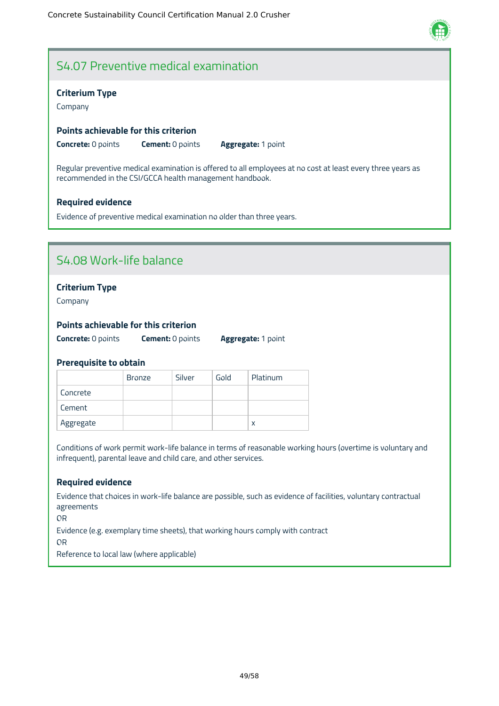

### S4.07 Preventive medical examination

#### **Criterium Type**

Company

#### **Points achievable for this criterion**

**Concrete:** 0 points **Cement:** 0 points **Aggregate:** 1 point

Regular preventive medical examination is offered to all employees at no cost at least every three years as recommended in the CSI/GCCA health management handbook.

#### **Required evidence**

Evidence of preventive medical examination no older than three years.

### S4.08 Work-life balance

#### **Criterium Type**

Company

#### **Points achievable for this criterion**

**Concrete:** 0 points **Cement:** 0 points **Aggregate:** 1 point

#### **Prerequisite to obtain**

|           | <b>Bronze</b> | Silver | Gold | Platinum |
|-----------|---------------|--------|------|----------|
| Concrete  |               |        |      |          |
| Cement    |               |        |      |          |
| Aggregate |               |        |      |          |

Conditions of work permit work-life balance in terms of reasonable working hours (overtime is voluntary and infrequent), parental leave and child care, and other services.

#### **Required evidence**

Evidence that choices in work-life balance are possible, such as evidence of facilities, voluntary contractual agreements

OR

Evidence (e.g. exemplary time sheets), that working hours comply with contract

OR

Reference to local law (where applicable)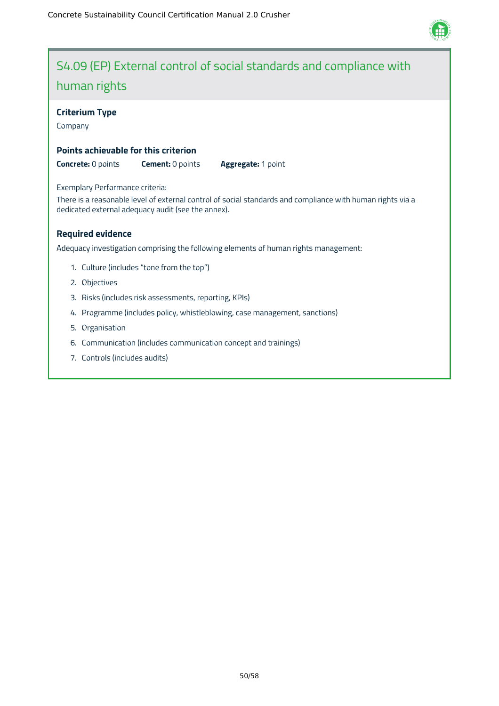

## S4.09 (EP) External control of social standards and compliance with human rights

#### **Criterium Type**

Company

#### **Points achievable for this criterion**

**Concrete:** 0 points **Cement:** 0 points **Aggregate:** 1 point

#### Exemplary Performance criteria:

There is a reasonable level of external control of social standards and compliance with human rights via a dedicated external adequacy audit (see the annex).

#### **Required evidence**

Adequacy investigation comprising the following elements of human rights management:

- 1. Culture (includes "tone from the top")
- 2. Objectives
- 3. Risks (includes risk assessments, reporting, KPIs)
- 4. Programme (includes policy, whistleblowing, case management, sanctions)
- 5. Organisation
- 6. Communication (includes communication concept and trainings)
- 7. Controls (includes audits)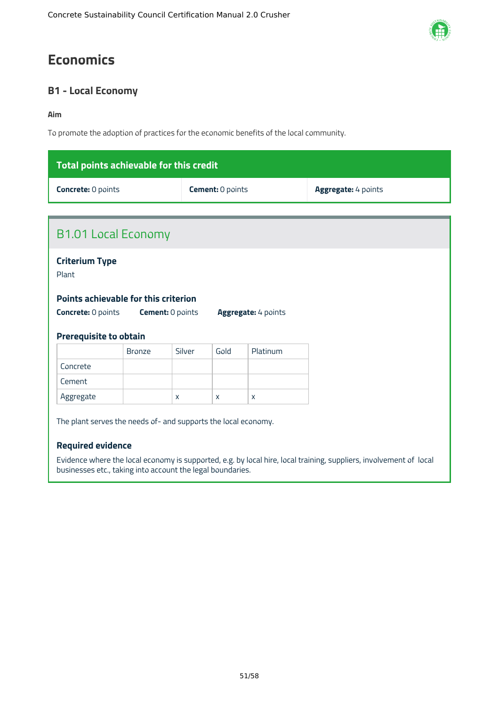## <span id="page-51-0"></span>**Economics**

### <span id="page-51-1"></span>**B1 - Local Economy**

#### **Aim**

To promote the adoption of practices for the economic benefits of the local community.

| Total points achievable for this credit |                         |                            |  |  |  |
|-----------------------------------------|-------------------------|----------------------------|--|--|--|
| <b>Concrete: 0 points</b>               | <b>Cement:</b> 0 points | <b>Aggregate:</b> 4 points |  |  |  |

| <b>Criterium Type</b><br>Plant<br>Points achievable for this criterion<br><b>Concrete: 0 points</b><br><b>Cement: 0 points</b><br>Aggregate: 4 points<br><b>Prerequisite to obtain</b><br>Gold<br>Silver<br>Platinum<br><b>Bronze</b> |
|---------------------------------------------------------------------------------------------------------------------------------------------------------------------------------------------------------------------------------------|
|                                                                                                                                                                                                                                       |
|                                                                                                                                                                                                                                       |
|                                                                                                                                                                                                                                       |
| Concrete                                                                                                                                                                                                                              |
| Cement                                                                                                                                                                                                                                |
| Aggregate<br>$\mathsf{x}$<br>$\mathsf{x}$<br>X                                                                                                                                                                                        |

Evidence where the local economy is supported, e.g. by local hire, local training, suppliers, involvement of local businesses etc., taking into account the legal boundaries.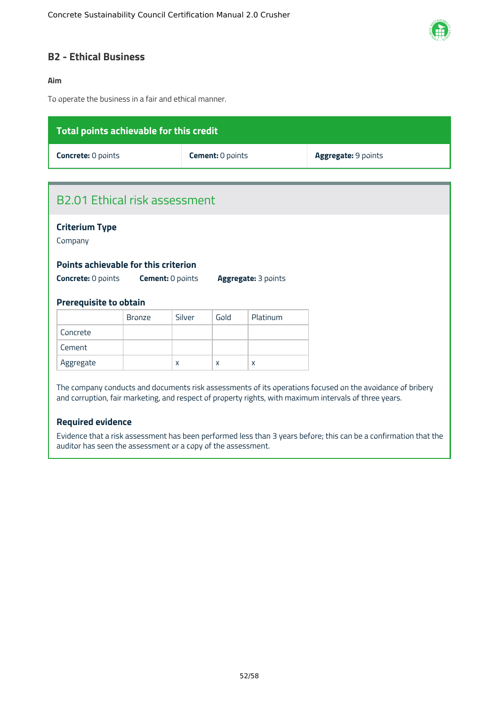

#### <span id="page-52-0"></span>**B2 - Ethical Business**

#### **Aim**

To operate the business in a fair and ethical manner.

| Total points achievable for this credit |                         |                            |  |  |  |
|-----------------------------------------|-------------------------|----------------------------|--|--|--|
| <b>Concrete: 0 points</b>               | <b>Cement: 0 points</b> | <b>Aggregate: 9 points</b> |  |  |  |
|                                         |                         |                            |  |  |  |

### B2.01 Ethical risk assessment

#### **Criterium Type**

Company

#### **Points achievable for this criterion**

**Concrete:** 0 points **Cement:** 0 points **Aggregate:** 3 points

#### **Prerequisite to obtain**

|           | <b>Bronze</b> | Silver | Gold | Platinum |
|-----------|---------------|--------|------|----------|
| Concrete  |               |        |      |          |
| Cement    |               |        |      |          |
| Aggregate |               | X      | X    | X        |

The company conducts and documents risk assessments of its operations focused on the avoidance of bribery and corruption, fair marketing, and respect of property rights, with maximum intervals of three years.

#### **Required evidence**

Evidence that a risk assessment has been performed less than 3 years before; this can be a confirmation that the auditor has seen the assessment or a copy of the assessment.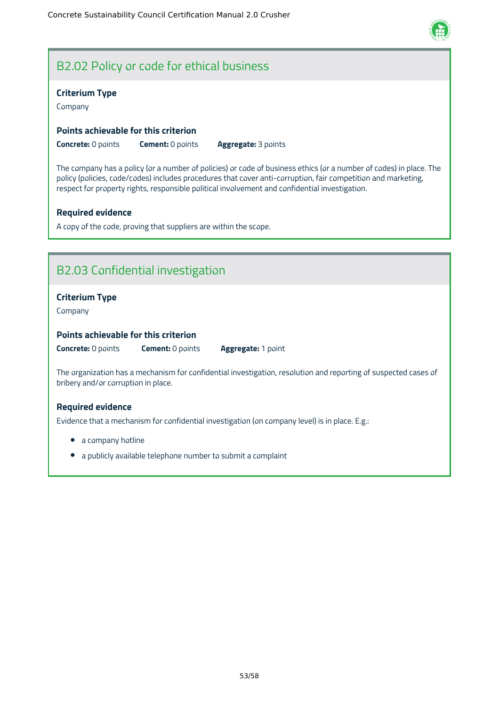

### B2.02 Policy or code for ethical business

#### **Criterium Type**

Company

#### **Points achievable for this criterion**

**Concrete:** 0 points **Cement:** 0 points **Aggregate:** 3 points

The company has a policy (or a number of policies) or code of business ethics (or a number of codes) in place. The policy (policies, code/codes) includes procedures that cover anti-corruption, fair competition and marketing, respect for property rights, responsible political involvement and confidential investigation.

#### **Required evidence**

A copy of the code, proving that suppliers are within the scope.

### B2.03 Confidential investigation

#### **Criterium Type**

Company

#### **Points achievable for this criterion**

**Concrete:** 0 points **Cement:** 0 points **Aggregate:** 1 point

The organization has a mechanism for confidential investigation, resolution and reporting of suspected cases of bribery and/or corruption in place.

#### **Required evidence**

Evidence that a mechanism for confidential investigation (on company level) is in place. E.g.:

- a company hotline
- a publicly available telephone number to submit a complaint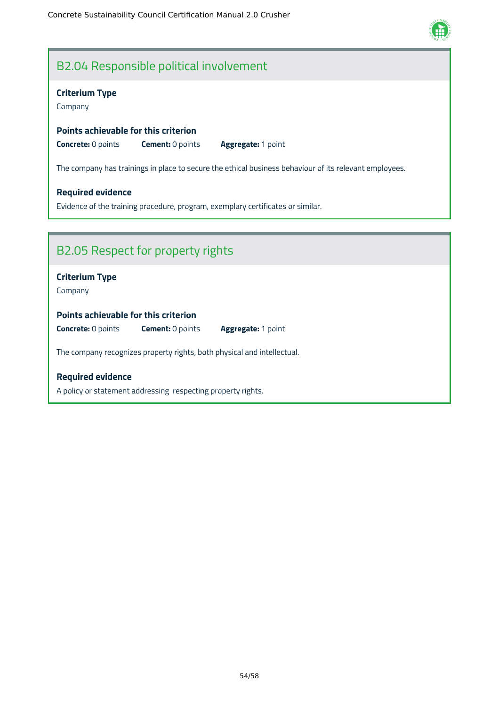### B2.04 Responsible political involvement

#### **Criterium Type**

Company

#### **Points achievable for this criterion**

**Concrete:** 0 points **Cement:** 0 points **Aggregate:** 1 point

The company has trainings in place to secure the ethical business behaviour of its relevant employees.

#### **Required evidence**

Evidence of the training procedure, program, exemplary certificates or similar.

### B2.05 Respect for property rights

#### **Criterium Type**

Company

#### **Points achievable for this criterion**

**Concrete:** 0 points **Cement:** 0 points **Aggregate:** 1 point

The company recognizes property rights, both physical and intellectual.

#### **Required evidence**

A policy or statement addressing respecting property rights.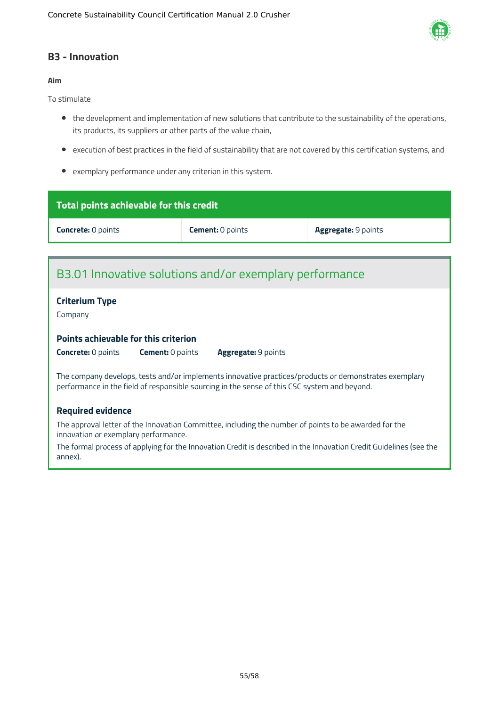

#### <span id="page-55-0"></span>**B3 - Innovation**

#### **Aim**

To stimulate

- the development and implementation of new solutions that contribute to the sustainability of the operations, its products, its suppliers or other parts of the value chain,
- execution of best practices in the field of sustainability that are not covered by this certification systems, and
- exemplary performance under any criterion in this system.

| Total points achievable for this credit                                                                                                                                                               |                         |                     |  |  |
|-------------------------------------------------------------------------------------------------------------------------------------------------------------------------------------------------------|-------------------------|---------------------|--|--|
| <b>Concrete: 0 points</b>                                                                                                                                                                             | <b>Cement: 0 points</b> | Aggregate: 9 points |  |  |
|                                                                                                                                                                                                       |                         |                     |  |  |
| B3.01 Innovative solutions and/or exemplary performance                                                                                                                                               |                         |                     |  |  |
| <b>Criterium Type</b><br>Company                                                                                                                                                                      |                         |                     |  |  |
| <b>Points achievable for this criterion</b>                                                                                                                                                           |                         |                     |  |  |
| <b>Concrete: 0 points</b><br><b>Cement: 0 points</b>                                                                                                                                                  | Aggregate: 9 points     |                     |  |  |
| The company develops, tests and/or implements innovative practices/products or demonstrates exemplary<br>performance in the field of responsible sourcing in the sense of this CSC system and beyond. |                         |                     |  |  |
| <b>Required evidence</b>                                                                                                                                                                              |                         |                     |  |  |
| The common letter of the law matter Committee. Including the minules of colote to be committed for the                                                                                                |                         |                     |  |  |

The approval letter of the Innovation Committee, including the number of points to be awarded for the innovation or exemplary performance.

The formal process of applying for the Innovation Credit is described in the Innovation Credit Guidelines (see the annex).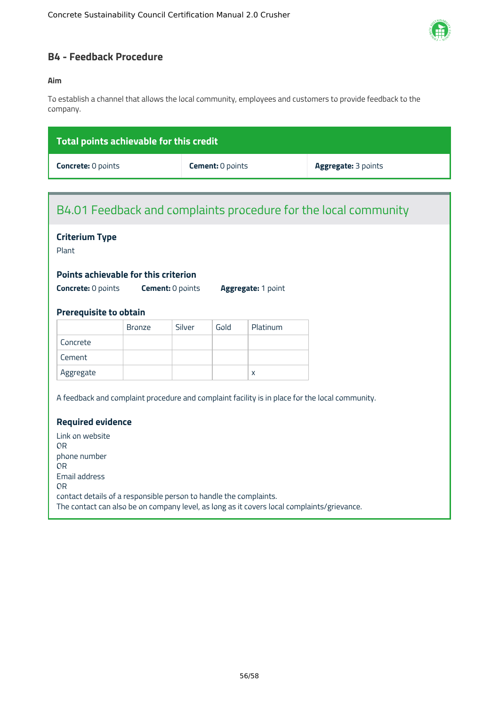

#### <span id="page-56-0"></span>**B4 - Feedback Procedure**

#### **Aim**

To establish a channel that allows the local community, employees and customers to provide feedback to the company.

| $^\prime$ Total points achievable for this credit $_1$ |                         |                            |
|--------------------------------------------------------|-------------------------|----------------------------|
| <b>Concrete: 0 points</b>                              | <b>Cement:</b> 0 points | <b>Aggregate: 3 points</b> |

### B4.01 Feedback and complaints procedure for the local community

### **Criterium Type**

Plant

#### **Points achievable for this criterion**

**Concrete:** 0 points **Cement:** 0 points **Aggregate:** 1 point

#### **Prerequisite to obtain**

|           | <b>Bronze</b> | Silver | Gold | Platinum |
|-----------|---------------|--------|------|----------|
| Concrete  |               |        |      |          |
| Cement    |               |        |      |          |
| Aggregate |               |        |      | x        |

A feedback and complaint procedure and complaint facility is in place for the local community.

#### **Required evidence**

Link on website OR phone number OR Email address OR contact details of a responsible person to handle the complaints. The contact can also be on company level, as long as it covers local complaints/grievance.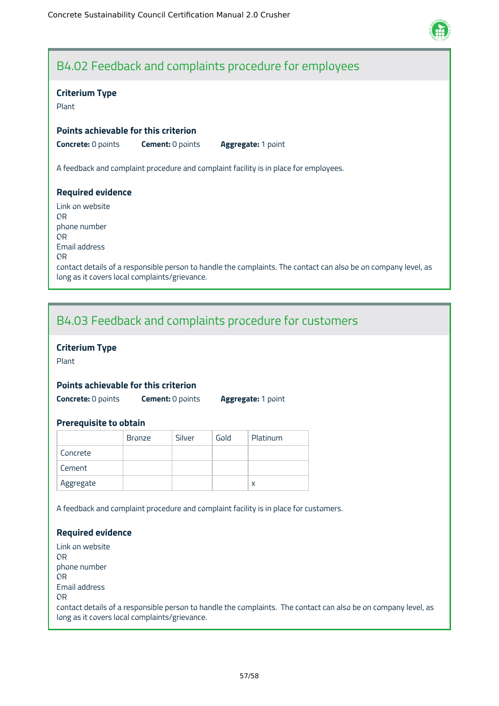

### B4.02 Feedback and complaints procedure for employees

#### **Criterium Type**

Plant

#### **Points achievable for this criterion**

**Concrete:** 0 points **Cement:** 0 points **Aggregate:** 1 point

A feedback and complaint procedure and complaint facility is in place for employees.

#### **Required evidence**

Link on website OR phone number OR Email address OR contact details of a responsible person to handle the complaints. The contact can also be on company level, as long as it covers local complaints/grievance.

### B4.03 Feedback and complaints procedure for customers

#### **Criterium Type**

Plant

#### **Points achievable for this criterion**

**Concrete:** 0 points **Cement:** 0 points **Aggregate:** 1 point

#### **Prerequisite to obtain**

|           | <b>Bronze</b> | Silver | Gold | Platinum |
|-----------|---------------|--------|------|----------|
| Concrete  |               |        |      |          |
| Cement    |               |        |      |          |
| Aggregate |               |        |      | x        |

A feedback and complaint procedure and complaint facility is in place for customers.

#### **Required evidence**

Link on website OR phone number OR Email address OR contact details of a responsible person to handle the complaints. The contact can also be on company level, as long as it covers local complaints/grievance.